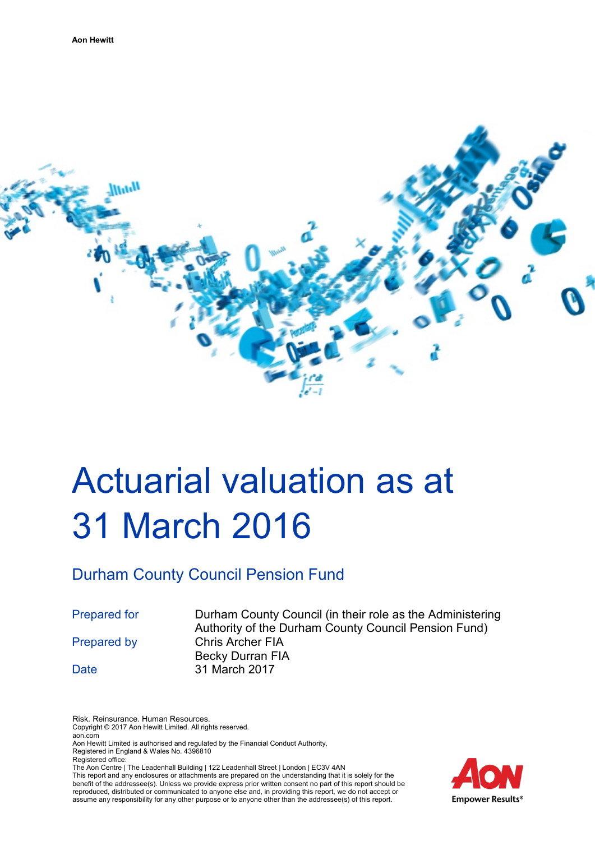

# Actuarial valuation as at 31 March 2016

# Durham County Council Pension Fund

Prepared for Durham County Council (in their role as the Administering Authority of the Durham County Council Pension Fund) Prepared by Chris Archer FIA Becky Durran FIA Date 31 March 2017

Risk. Reinsurance. Human Resources. Copyright © 2017 Aon Hewitt Limited. All rights reserved.

aon.com Aon Hewitt Limited is authorised and regulated by the Financial Conduct Authority.

Registered in England & Wales No. 4396810 Registered office:

The Aon Centre | The Leadenhall Building | 122 Leadenhall Street | London | EC3V 4AN

This report and any enclosures or attachments are prepared on the understanding that it is solely for the benefit of the addressee(s). Unless we provide express prior written consent no part of this report should be reproduced, distributed or communicated to anyone else and, in providing this report, we do not accept or assume any responsibility for any other purpose or to anyone other than the addressee(s) of this report.

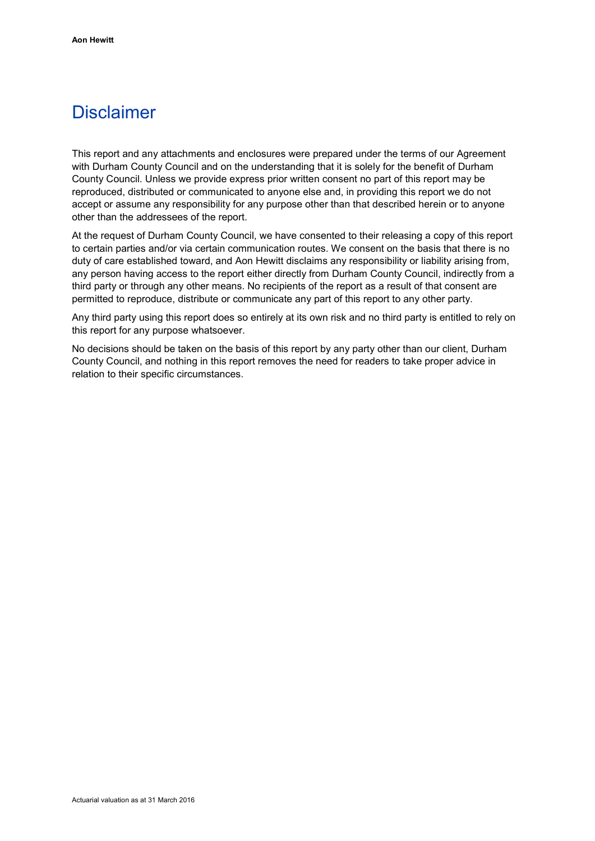# **Disclaimer**

This report and any attachments and enclosures were prepared under the terms of our Agreement with Durham County Council and on the understanding that it is solely for the benefit of Durham County Council. Unless we provide express prior written consent no part of this report may be reproduced, distributed or communicated to anyone else and, in providing this report we do not accept or assume any responsibility for any purpose other than that described herein or to anyone other than the addressees of the report.

At the request of Durham County Council, we have consented to their releasing a copy of this report to certain parties and/or via certain communication routes. We consent on the basis that there is no duty of care established toward, and Aon Hewitt disclaims any responsibility or liability arising from, any person having access to the report either directly from Durham County Council, indirectly from a third party or through any other means. No recipients of the report as a result of that consent are permitted to reproduce, distribute or communicate any part of this report to any other party.

Any third party using this report does so entirely at its own risk and no third party is entitled to rely on this report for any purpose whatsoever.

No decisions should be taken on the basis of this report by any party other than our client, Durham County Council, and nothing in this report removes the need for readers to take proper advice in relation to their specific circumstances.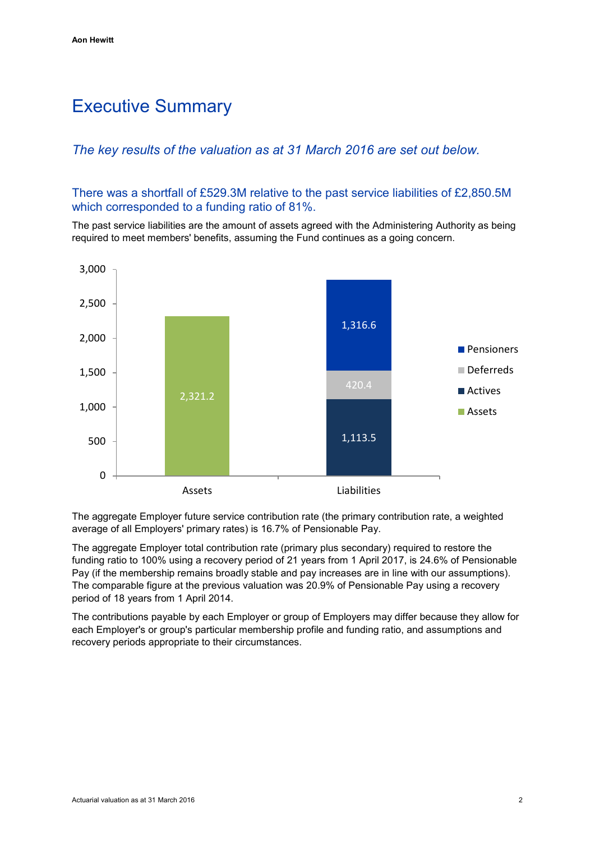# Executive Summary

# *The key results of the valuation as at 31 March 2016 are set out below.*

There was a shortfall of £529.3M relative to the past service liabilities of £2,850.5M which corresponded to a funding ratio of 81%.

The past service liabilities are the amount of assets agreed with the Administering Authority as being required to meet members' benefits, assuming the Fund continues as a going concern.



The aggregate Employer future service contribution rate (the primary contribution rate, a weighted average of all Employers' primary rates) is 16.7% of Pensionable Pay.

The aggregate Employer total contribution rate (primary plus secondary) required to restore the funding ratio to 100% using a recovery period of 21 years from 1 April 2017, is 24.6% of Pensionable Pay (if the membership remains broadly stable and pay increases are in line with our assumptions). The comparable figure at the previous valuation was 20.9% of Pensionable Pay using a recovery period of 18 years from 1 April 2014.

The contributions payable by each Employer or group of Employers may differ because they allow for each Employer's or group's particular membership profile and funding ratio, and assumptions and recovery periods appropriate to their circumstances.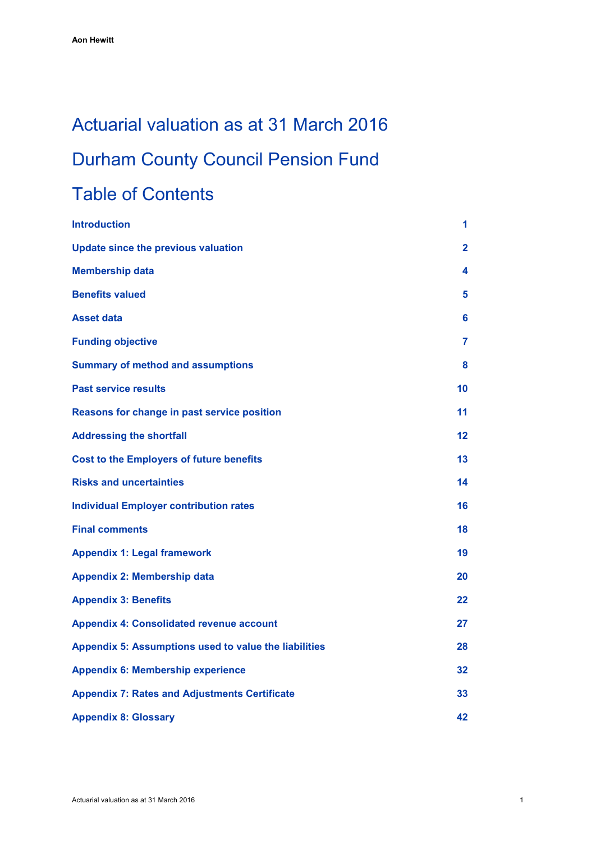# Actuarial valuation as at 31 March 2016 Durham County Council Pension Fund

# Table of Contents

| <b>Introduction</b>                                   | 1            |
|-------------------------------------------------------|--------------|
| <b>Update since the previous valuation</b>            | $\mathbf{2}$ |
| <b>Membership data</b>                                | 4            |
| <b>Benefits valued</b>                                | 5            |
| <b>Asset data</b>                                     | 6            |
| <b>Funding objective</b>                              | 7            |
| <b>Summary of method and assumptions</b>              | 8            |
| <b>Past service results</b>                           | 10           |
| Reasons for change in past service position           | 11           |
| <b>Addressing the shortfall</b>                       | 12           |
| <b>Cost to the Employers of future benefits</b>       | 13           |
| <b>Risks and uncertainties</b>                        | 14           |
| <b>Individual Employer contribution rates</b>         | 16           |
| <b>Final comments</b>                                 | 18           |
| <b>Appendix 1: Legal framework</b>                    | 19           |
| <b>Appendix 2: Membership data</b>                    | 20           |
| <b>Appendix 3: Benefits</b>                           | 22           |
| <b>Appendix 4: Consolidated revenue account</b>       | 27           |
| Appendix 5: Assumptions used to value the liabilities | 28           |
| <b>Appendix 6: Membership experience</b>              | 32           |
| <b>Appendix 7: Rates and Adjustments Certificate</b>  | 33           |
| <b>Appendix 8: Glossary</b>                           | 42           |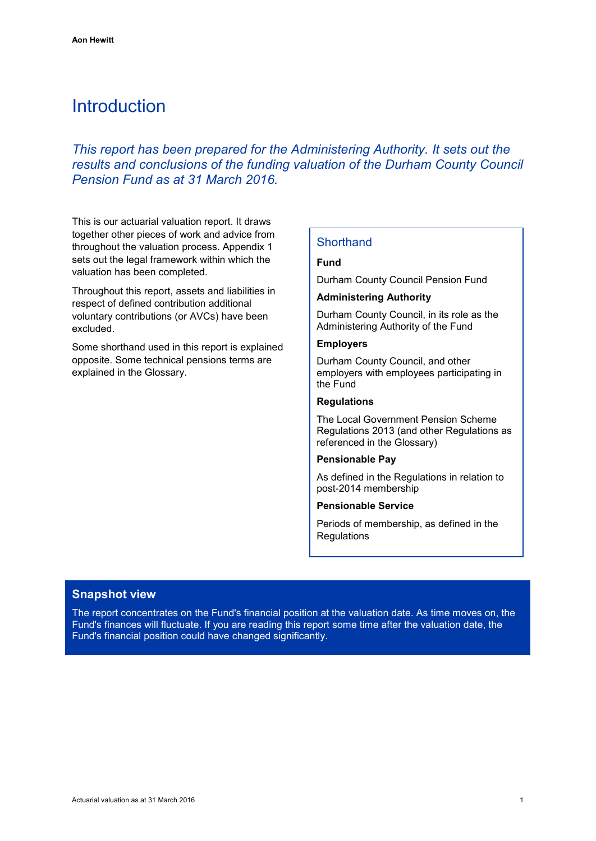# <span id="page-4-0"></span>Introduction

*This report has been prepared for the Administering Authority. It sets out the results and conclusions of the funding valuation of the Durham County Council Pension Fund as at 31 March 2016.*

This is our actuarial valuation report. It draws together other pieces of work and advice from throughout the valuation process. Appendix 1 sets out the legal framework within which the valuation has been completed.

Throughout this report, assets and liabilities in respect of defined contribution additional voluntary contributions (or AVCs) have been excluded.

Some shorthand used in this report is explained opposite. Some technical pensions terms are explained in the Glossary.

### **Shorthand**

### **Fund**

Durham County Council Pension Fund

#### **Administering Authority**

Durham County Council, in its role as the Administering Authority of the Fund

#### **Employers**

Durham County Council, and other employers with employees participating in the Fund

### **Regulations**

The Local Government Pension Scheme Regulations 2013 (and other Regulations as referenced in the Glossary)

#### **Pensionable Pay**

As defined in the Regulations in relation to post-2014 membership

#### **Pensionable Service**

Periods of membership, as defined in the **Regulations** 

### **Snapshot view**

The report concentrates on the Fund's financial position at the valuation date. As time moves on, the Fund's finances will fluctuate. If you are reading this report some time after the valuation date, the Fund's financial position could have changed significantly.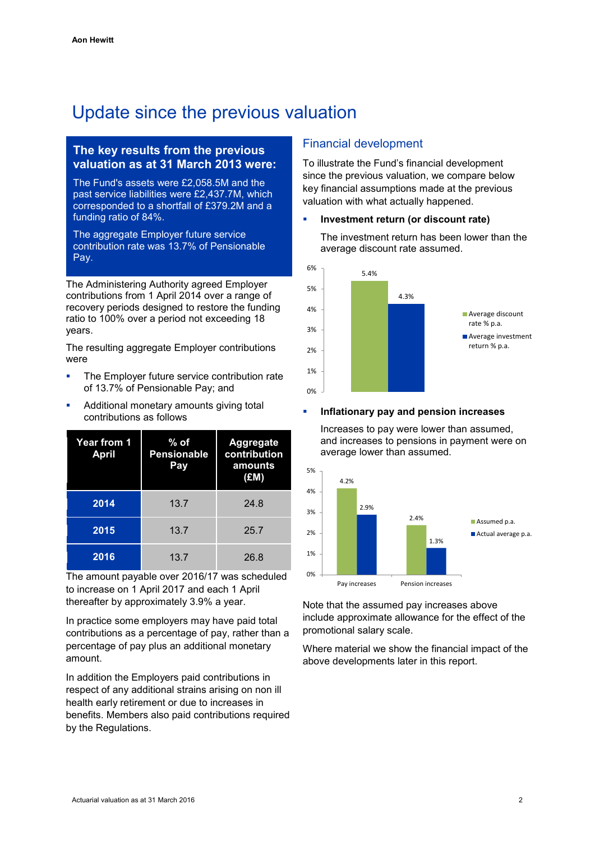# <span id="page-5-0"></span>Update since the previous valuation

# **The key results from the previous valuation as at 31 March 2013 were:**

The Fund's assets were £2,058.5M and the past service liabilities were £2,437.7M, which corresponded to a shortfall of £379.2M and a funding ratio of 84%.

The aggregate Employer future service contribution rate was 13.7% of Pensionable Pay.

The Administering Authority agreed Employer contributions from 1 April 2014 over a range of recovery periods designed to restore the funding ratio to 100% over a period not exceeding 18 years.

The resulting aggregate Employer contributions were

- **The Employer future service contribution rate** of 13.7% of Pensionable Pay; and
- Additional monetary amounts giving total contributions as follows

| <b>Year from 1</b><br><b>April</b> | $%$ of<br><b>Pensionable</b><br>Pay | Aggregate<br>contribution<br>amounts<br>(EM) |
|------------------------------------|-------------------------------------|----------------------------------------------|
| 2014                               | 13.7                                | 24.8                                         |
| 2015                               | 13.7                                | 25.7                                         |
| 2016                               | 13.7                                | 26.8                                         |

The amount payable over 2016/17 was scheduled to increase on 1 April 2017 and each 1 April thereafter by approximately 3.9% a year.

In practice some employers may have paid total contributions as a percentage of pay, rather than a percentage of pay plus an additional monetary amount.

In addition the Employers paid contributions in respect of any additional strains arising on non ill health early retirement or due to increases in benefits. Members also paid contributions required by the Regulations.

# Financial development

To illustrate the Fund's financial development since the previous valuation, we compare below key financial assumptions made at the previous valuation with what actually happened.

#### **Investment return (or discount rate)**

The investment return has been lower than the average discount rate assumed.



#### **Inflationary pay and pension increases**

Increases to pay were lower than assumed, and increases to pensions in payment were on average lower than assumed.



Note that the assumed pay increases above include approximate allowance for the effect of the promotional salary scale.

Where material we show the financial impact of the above developments later in this report.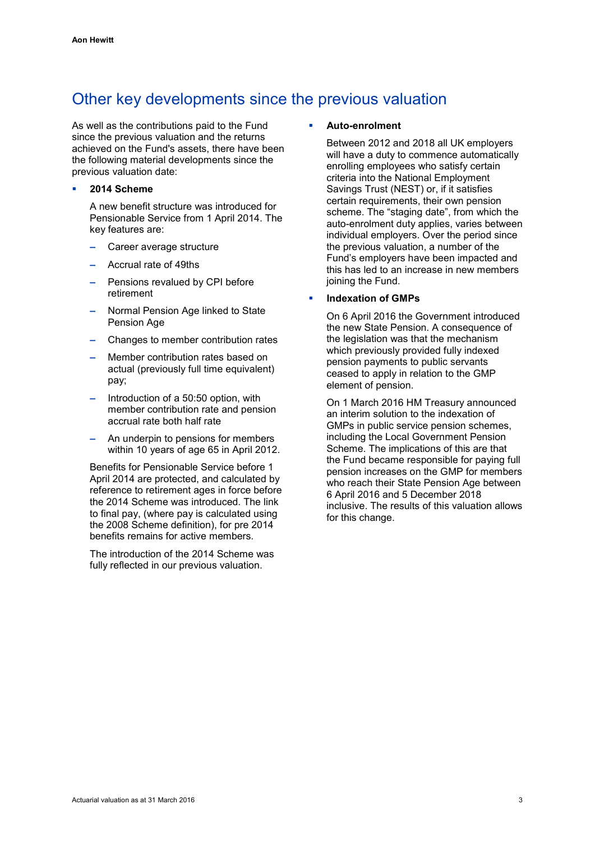# Other key developments since the previous valuation

As well as the contributions paid to the Fund since the previous valuation and the returns achieved on the Fund's assets, there have been the following material developments since the previous valuation date:

#### **2014 Scheme**

A new benefit structure was introduced for Pensionable Service from 1 April 2014. The key features are:

- **–** Career average structure
- **–** Accrual rate of 49ths
- **–** Pensions revalued by CPI before retirement
- **–** Normal Pension Age linked to State Pension Age
- **–** Changes to member contribution rates
- **–** Member contribution rates based on actual (previously full time equivalent) pay;
- **–** Introduction of a 50:50 option, with member contribution rate and pension accrual rate both half rate
- **–** An underpin to pensions for members within 10 years of age 65 in April 2012.

Benefits for Pensionable Service before 1 April 2014 are protected, and calculated by reference to retirement ages in force before the 2014 Scheme was introduced. The link to final pay, (where pay is calculated using the 2008 Scheme definition), for pre 2014 benefits remains for active members.

The introduction of the 2014 Scheme was fully reflected in our previous valuation.

#### **Auto-enrolment**

Between 2012 and 2018 all UK employers will have a duty to commence automatically enrolling employees who satisfy certain criteria into the National Employment Savings Trust (NEST) or, if it satisfies certain requirements, their own pension scheme. The "staging date", from which the auto-enrolment duty applies, varies between individual employers. Over the period since the previous valuation, a number of the Fund's employers have been impacted and this has led to an increase in new members joining the Fund.

#### **Indexation of GMPs**

On 6 April 2016 the Government introduced the new State Pension. A consequence of the legislation was that the mechanism which previously provided fully indexed pension payments to public servants ceased to apply in relation to the GMP element of pension.

On 1 March 2016 HM Treasury announced an interim solution to the indexation of GMPs in public service pension schemes, including the Local Government Pension Scheme. The implications of this are that the Fund became responsible for paying full pension increases on the GMP for members who reach their State Pension Age between 6 April 2016 and 5 December 2018 inclusive. The results of this valuation allows for this change.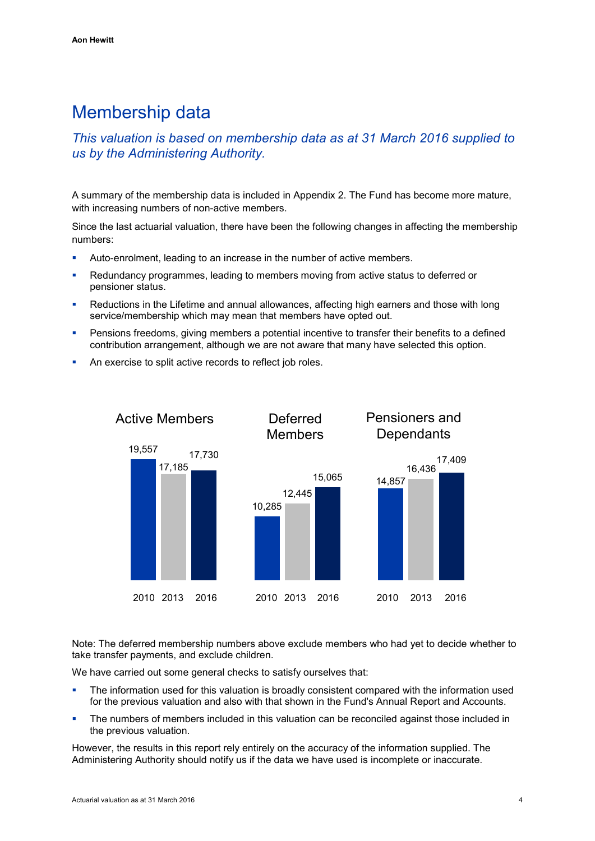# <span id="page-7-0"></span>Membership data

# *This valuation is based on membership data as at 31 March 2016 supplied to us by the Administering Authority.*

A summary of the membership data is included in Appendix 2. The Fund has become more mature, with increasing numbers of non-active members.

Since the last actuarial valuation, there have been the following changes in affecting the membership numbers:

- Auto-enrolment, leading to an increase in the number of active members.
- Redundancy programmes, leading to members moving from active status to deferred or pensioner status.
- Reductions in the Lifetime and annual allowances, affecting high earners and those with long service/membership which may mean that members have opted out.
- Pensions freedoms, giving members a potential incentive to transfer their benefits to a defined contribution arrangement, although we are not aware that many have selected this option.
- An exercise to split active records to reflect job roles.



Note: The deferred membership numbers above exclude members who had yet to decide whether to take transfer payments, and exclude children.

We have carried out some general checks to satisfy ourselves that:

- The information used for this valuation is broadly consistent compared with the information used for the previous valuation and also with that shown in the Fund's Annual Report and Accounts.
- The numbers of members included in this valuation can be reconciled against those included in the previous valuation.

However, the results in this report rely entirely on the accuracy of the information supplied. The Administering Authority should notify us if the data we have used is incomplete or inaccurate.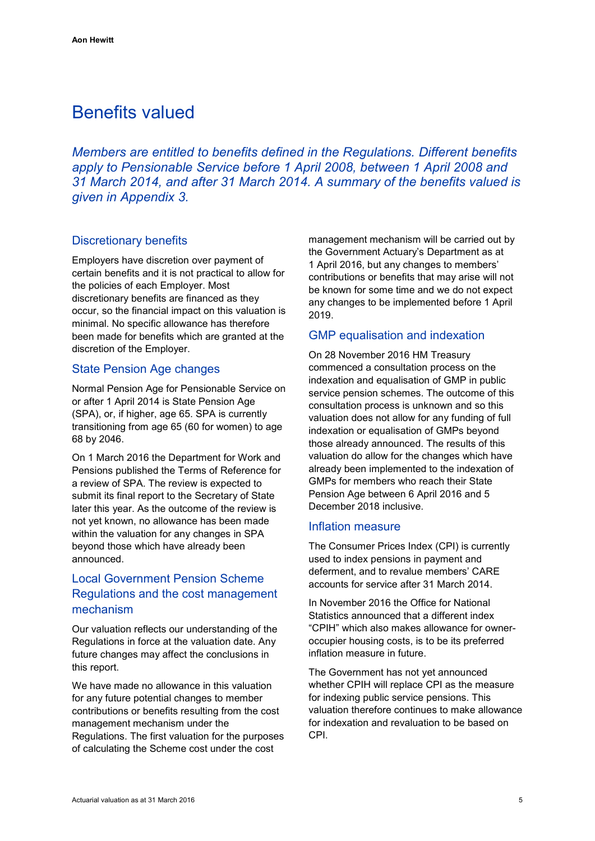# <span id="page-8-0"></span>Benefits valued

*Members are entitled to benefits defined in the Regulations. Different benefits apply to Pensionable Service before 1 April 2008, between 1 April 2008 and 31 March 2014, and after 31 March 2014. A summary of the benefits valued is given in Appendix 3.*

# Discretionary benefits

Employers have discretion over payment of certain benefits and it is not practical to allow for the policies of each Employer. Most discretionary benefits are financed as they occur, so the financial impact on this valuation is minimal. No specific allowance has therefore been made for benefits which are granted at the discretion of the Employer.

### State Pension Age changes

Normal Pension Age for Pensionable Service on or after 1 April 2014 is State Pension Age (SPA), or, if higher, age 65. SPA is currently transitioning from age 65 (60 for women) to age 68 by 2046.

On 1 March 2016 the Department for Work and Pensions published the Terms of Reference for a review of SPA. The review is expected to submit its final report to the Secretary of State later this year. As the outcome of the review is not yet known, no allowance has been made within the valuation for any changes in SPA beyond those which have already been announced.

# Local Government Pension Scheme Regulations and the cost management mechanism

Our valuation reflects our understanding of the Regulations in force at the valuation date. Any future changes may affect the conclusions in this report.

We have made no allowance in this valuation for any future potential changes to member contributions or benefits resulting from the cost management mechanism under the Regulations. The first valuation for the purposes of calculating the Scheme cost under the cost

management mechanism will be carried out by the Government Actuary's Department as at 1 April 2016, but any changes to members' contributions or benefits that may arise will not be known for some time and we do not expect any changes to be implemented before 1 April 2019.

### GMP equalisation and indexation

On 28 November 2016 HM Treasury commenced a consultation process on the indexation and equalisation of GMP in public service pension schemes. The outcome of this consultation process is unknown and so this valuation does not allow for any funding of full indexation or equalisation of GMPs beyond those already announced. The results of this valuation do allow for the changes which have already been implemented to the indexation of GMPs for members who reach their State Pension Age between 6 April 2016 and 5 December 2018 inclusive.

#### Inflation measure

The Consumer Prices Index (CPI) is currently used to index pensions in payment and deferment, and to revalue members' CARE accounts for service after 31 March 2014.

In November 2016 the Office for National Statistics announced that a different index "CPIH" which also makes allowance for owneroccupier housing costs, is to be its preferred inflation measure in future.

The Government has not yet announced whether CPIH will replace CPI as the measure for indexing public service pensions. This valuation therefore continues to make allowance for indexation and revaluation to be based on CPI.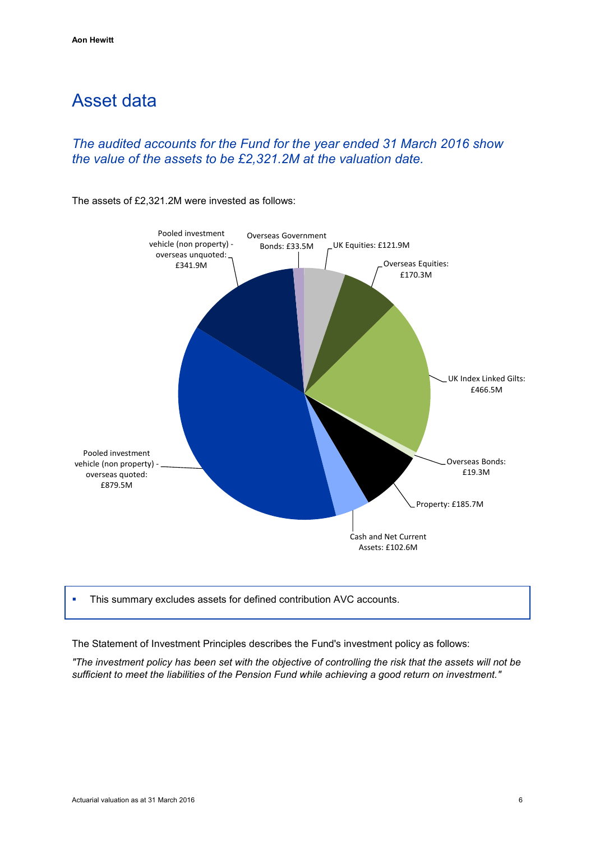# <span id="page-9-0"></span>Asset data

# *The audited accounts for the Fund for the year ended 31 March 2016 show the value of the assets to be £2,321.2M at the valuation date.*

The assets of £2,321.2M were invested as follows:



This summary excludes assets for defined contribution AVC accounts.

The Statement of Investment Principles describes the Fund's investment policy as follows:

*"The investment policy has been set with the objective of controlling the risk that the assets will not be sufficient to meet the liabilities of the Pension Fund while achieving a good return on investment."*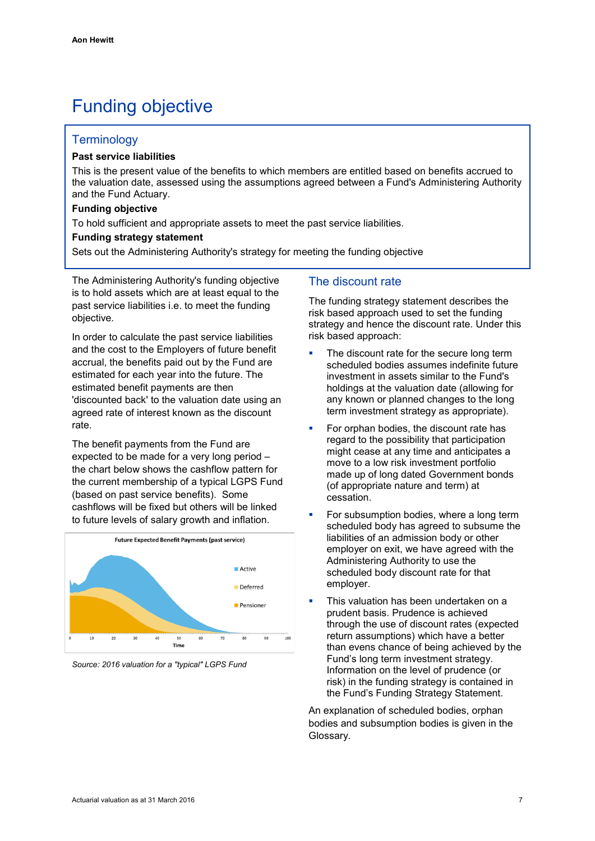# <span id="page-10-0"></span>Funding objective

### **Terminology**

#### **Past service liabilities**

This is the present value of the benefits to which members are entitled based on benefits accrued to the valuation date, assessed using the assumptions agreed between a Fund's Administering Authority and the Fund Actuary.

#### **Funding objective**

To hold sufficient and appropriate assets to meet the past service liabilities.

#### **Funding strategy statement**

Sets out the Administering Authority's strategy for meeting the funding objective

The Administering Authority's funding objective is to hold assets which are at least equal to the past service liabilities i.e. to meet the funding objective.

In order to calculate the past service liabilities and the cost to the Employers of future benefit accrual, the benefits paid out by the Fund are estimated for each year into the future. The estimated benefit payments are then 'discounted back' to the valuation date using an agreed rate of interest known as the discount rate.

The benefit payments from the Fund are expected to be made for a very long period – the chart below shows the cashflow pattern for the current membership of a typical LGPS Fund (based on past service benefits). Some cashflows will be fixed but others will be linked to future levels of salary growth and inflation.



*Source: 2016 valuation for a "typical" LGPS Fund*

# The discount rate

The funding strategy statement describes the risk based approach used to set the funding strategy and hence the discount rate. Under this risk based approach:

- The discount rate for the secure long term scheduled bodies assumes indefinite future investment in assets similar to the Fund's holdings at the valuation date (allowing for any known or planned changes to the long term investment strategy as appropriate).
- For orphan bodies, the discount rate has regard to the possibility that participation might cease at any time and anticipates a move to a low risk investment portfolio made up of long dated Government bonds (of appropriate nature and term) at cessation.
- For subsumption bodies, where a long term scheduled body has agreed to subsume the liabilities of an admission body or other employer on exit, we have agreed with the Administering Authority to use the scheduled body discount rate for that employer.
- This valuation has been undertaken on a prudent basis. Prudence is achieved through the use of discount rates (expected return assumptions) which have a better than evens chance of being achieved by the Fund's long term investment strategy. Information on the level of prudence (or risk) in the funding strategy is contained in the Fund's Funding Strategy Statement.

An explanation of scheduled bodies, orphan bodies and subsumption bodies is given in the Glossary.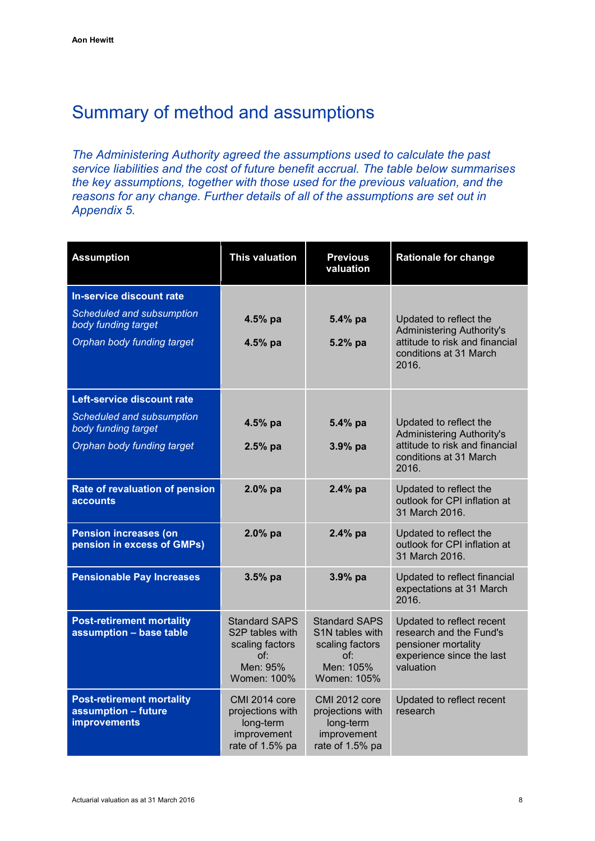# <span id="page-11-0"></span>Summary of method and assumptions

*The Administering Authority agreed the assumptions used to calculate the past service liabilities and the cost of future benefit accrual. The table below summarises the key assumptions, together with those used for the previous valuation, and the reasons for any change. Further details of all of the assumptions are set out in Appendix 5.*

| <b>Assumption</b>                                                                                            | <b>This valuation</b>                                                                        | <b>Previous</b><br>valuation                                                                  | <b>Rationale for change</b>                                                                                                     |
|--------------------------------------------------------------------------------------------------------------|----------------------------------------------------------------------------------------------|-----------------------------------------------------------------------------------------------|---------------------------------------------------------------------------------------------------------------------------------|
| In-service discount rate<br>Scheduled and subsumption<br>body funding target<br>Orphan body funding target   | 4.5% pa<br>4.5% pa                                                                           | 5.4% pa<br>5.2% pa                                                                            | Updated to reflect the<br><b>Administering Authority's</b><br>attitude to risk and financial<br>conditions at 31 March<br>2016. |
| Left-service discount rate<br>Scheduled and subsumption<br>body funding target<br>Orphan body funding target | 4.5% pa<br>$2.5%$ pa                                                                         | 5.4% pa<br>3.9% pa                                                                            | Updated to reflect the<br><b>Administering Authority's</b><br>attitude to risk and financial<br>conditions at 31 March<br>2016. |
| Rate of revaluation of pension<br><b>accounts</b>                                                            | 2.0% pa                                                                                      | 2.4% pa                                                                                       | Updated to reflect the<br>outlook for CPI inflation at<br>31 March 2016.                                                        |
| <b>Pension increases (on</b><br>pension in excess of GMPs)                                                   | 2.0% pa                                                                                      | 2.4% pa                                                                                       | Updated to reflect the<br>outlook for CPI inflation at<br>31 March 2016.                                                        |
| <b>Pensionable Pay Increases</b>                                                                             | $3.5%$ pa                                                                                    | 3.9% pa                                                                                       | Updated to reflect financial<br>expectations at 31 March<br>2016.                                                               |
| <b>Post-retirement mortality</b><br>assumption - base table                                                  | <b>Standard SAPS</b><br>S2P tables with<br>scaling factors<br>of:<br>Men: 95%<br>Women: 100% | <b>Standard SAPS</b><br>S1N tables with<br>scaling factors<br>of:<br>Men: 105%<br>Women: 105% | Updated to reflect recent<br>research and the Fund's<br>pensioner mortality<br>experience since the last<br>valuation           |
| <b>Post-retirement mortality</b><br>assumption - future<br><b>improvements</b>                               | CMI 2014 core<br>projections with<br>long-term<br>improvement<br>rate of 1.5% pa             | <b>CMI 2012 core</b><br>projections with<br>long-term<br>improvement<br>rate of 1.5% pa       | Updated to reflect recent<br>research                                                                                           |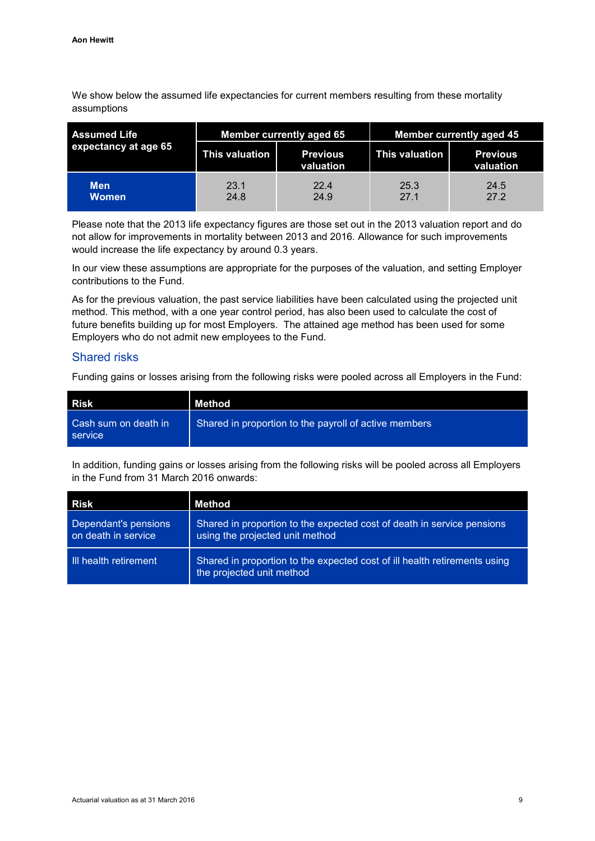We show below the assumed life expectancies for current members resulting from these mortality assumptions

| <b>Assumed Life</b><br>expectancy at age 65 |                | <b>Member currently aged 65</b> | <b>Member currently aged 45</b> |                              |  |
|---------------------------------------------|----------------|---------------------------------|---------------------------------|------------------------------|--|
|                                             | This valuation | <b>Previous</b><br>valuation    | This valuation                  | <b>Previous</b><br>valuation |  |
| <b>Men</b><br><b>Women</b>                  | 23.1<br>24.8   | 22.4<br>24.9                    | 25.3<br>27.1                    | 24.5<br>27.2                 |  |

Please note that the 2013 life expectancy figures are those set out in the 2013 valuation report and do not allow for improvements in mortality between 2013 and 2016. Allowance for such improvements would increase the life expectancy by around 0.3 years.

In our view these assumptions are appropriate for the purposes of the valuation, and setting Employer contributions to the Fund.

As for the previous valuation, the past service liabilities have been calculated using the projected unit method. This method, with a one year control period, has also been used to calculate the cost of future benefits building up for most Employers. The attained age method has been used for some Employers who do not admit new employees to the Fund.

### Shared risks

Funding gains or losses arising from the following risks were pooled across all Employers in the Fund:

| Risk                            | Method                                                |
|---------------------------------|-------------------------------------------------------|
| Cash sum on death in<br>service | Shared in proportion to the payroll of active members |

In addition, funding gains or losses arising from the following risks will be pooled across all Employers in the Fund from 31 March 2016 onwards:

| Risk                                        | Method                                                                                                    |
|---------------------------------------------|-----------------------------------------------------------------------------------------------------------|
| Dependant's pensions<br>on death in service | Shared in proportion to the expected cost of death in service pensions<br>using the projected unit method |
| Ill health retirement                       | Shared in proportion to the expected cost of ill health retirements using<br>the projected unit method    |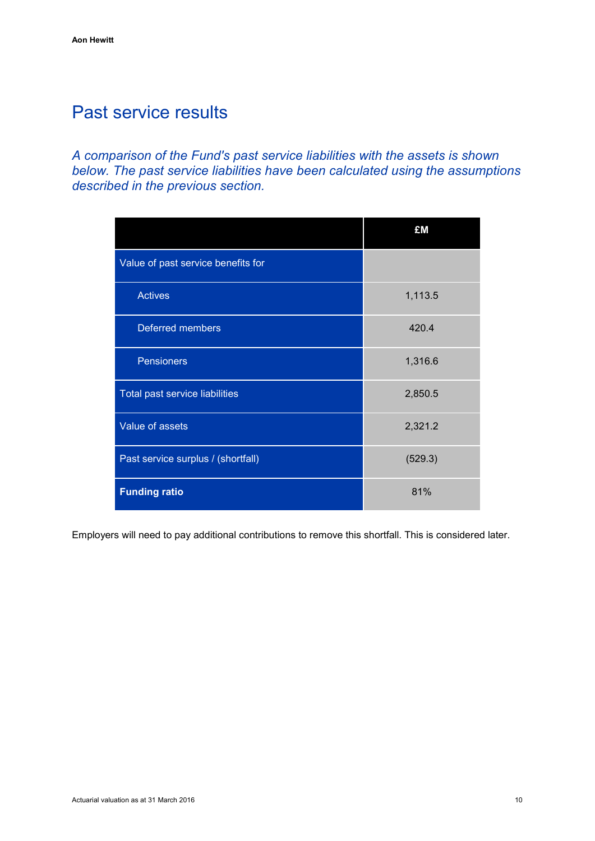# <span id="page-13-0"></span>Past service results

*A comparison of the Fund's past service liabilities with the assets is shown below. The past service liabilities have been calculated using the assumptions described in the previous section.*

|                                    | £M      |
|------------------------------------|---------|
| Value of past service benefits for |         |
| <b>Actives</b>                     | 1,113.5 |
| <b>Deferred members</b>            | 420.4   |
| <b>Pensioners</b>                  | 1,316.6 |
| Total past service liabilities     | 2,850.5 |
| Value of assets                    | 2,321.2 |
| Past service surplus / (shortfall) | (529.3) |
| <b>Funding ratio</b>               | 81%     |

Employers will need to pay additional contributions to remove this shortfall. This is considered later.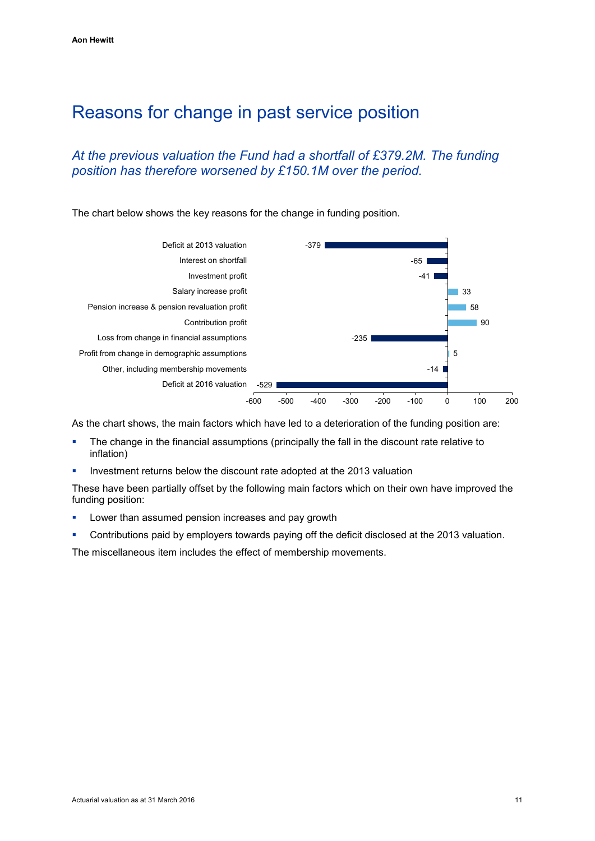# <span id="page-14-0"></span>Reasons for change in past service position

# *At the previous valuation the Fund had a shortfall of £379.2M. The funding position has therefore worsened by £150.1M over the period.*





As the chart shows, the main factors which have led to a deterioration of the funding position are:

- The change in the financial assumptions (principally the fall in the discount rate relative to inflation)
- Investment returns below the discount rate adopted at the 2013 valuation

These have been partially offset by the following main factors which on their own have improved the funding position:

- **Lower than assumed pension increases and pay growth**
- Contributions paid by employers towards paying off the deficit disclosed at the 2013 valuation.

The miscellaneous item includes the effect of membership movements.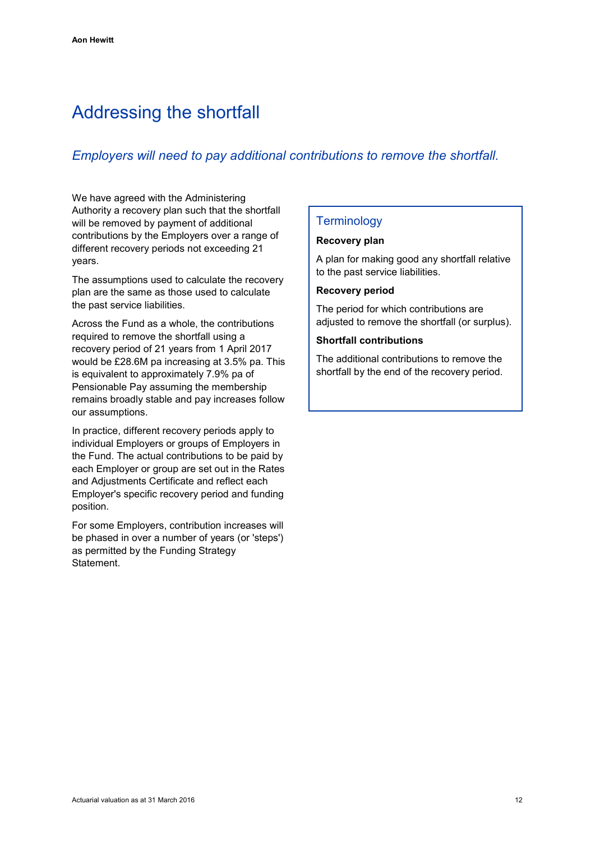# <span id="page-15-0"></span>Addressing the shortfall

# *Employers will need to pay additional contributions to remove the shortfall.*

We have agreed with the Administering Authority a recovery plan such that the shortfall will be removed by payment of additional contributions by the Employers over a range of different recovery periods not exceeding 21 years.

The assumptions used to calculate the recovery plan are the same as those used to calculate the past service liabilities.

Across the Fund as a whole, the contributions required to remove the shortfall using a recovery period of 21 years from 1 April 2017 would be £28.6M pa increasing at 3.5% pa. This is equivalent to approximately 7.9% pa of Pensionable Pay assuming the membership remains broadly stable and pay increases follow our assumptions.

In practice, different recovery periods apply to individual Employers or groups of Employers in the Fund. The actual contributions to be paid by each Employer or group are set out in the Rates and Adjustments Certificate and reflect each Employer's specific recovery period and funding position.

For some Employers, contribution increases will be phased in over a number of years (or 'steps') as permitted by the Funding Strategy Statement.

# **Terminology**

#### **Recovery plan**

A plan for making good any shortfall relative to the past service liabilities.

#### **Recovery period**

The period for which contributions are adjusted to remove the shortfall (or surplus).

#### **Shortfall contributions**

The additional contributions to remove the shortfall by the end of the recovery period.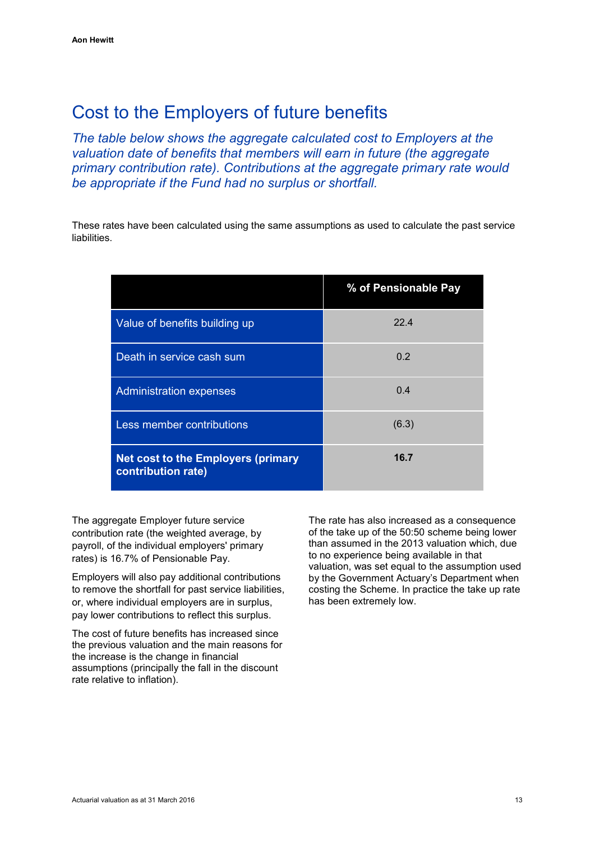# <span id="page-16-0"></span>Cost to the Employers of future benefits

*The table below shows the aggregate calculated cost to Employers at the valuation date of benefits that members will earn in future (the aggregate primary contribution rate). Contributions at the aggregate primary rate would be appropriate if the Fund had no surplus or shortfall.*

These rates have been calculated using the same assumptions as used to calculate the past service liabilities.

|                                                          | % of Pensionable Pay |
|----------------------------------------------------------|----------------------|
| Value of benefits building up                            | 22.4                 |
| Death in service cash sum                                | 0.2                  |
| <b>Administration expenses</b>                           | 0.4                  |
| <b>Less member contributions</b>                         | (6.3)                |
| Net cost to the Employers (primary<br>contribution rate) | 16.7                 |

The aggregate Employer future service contribution rate (the weighted average, by payroll, of the individual employers' primary rates) is 16.7% of Pensionable Pay.

Employers will also pay additional contributions to remove the shortfall for past service liabilities, or, where individual employers are in surplus, pay lower contributions to reflect this surplus.

The cost of future benefits has increased since the previous valuation and the main reasons for the increase is the change in financial assumptions (principally the fall in the discount rate relative to inflation).

The rate has also increased as a consequence of the take up of the 50:50 scheme being lower than assumed in the 2013 valuation which, due to no experience being available in that valuation, was set equal to the assumption used by the Government Actuary's Department when costing the Scheme. In practice the take up rate has been extremely low.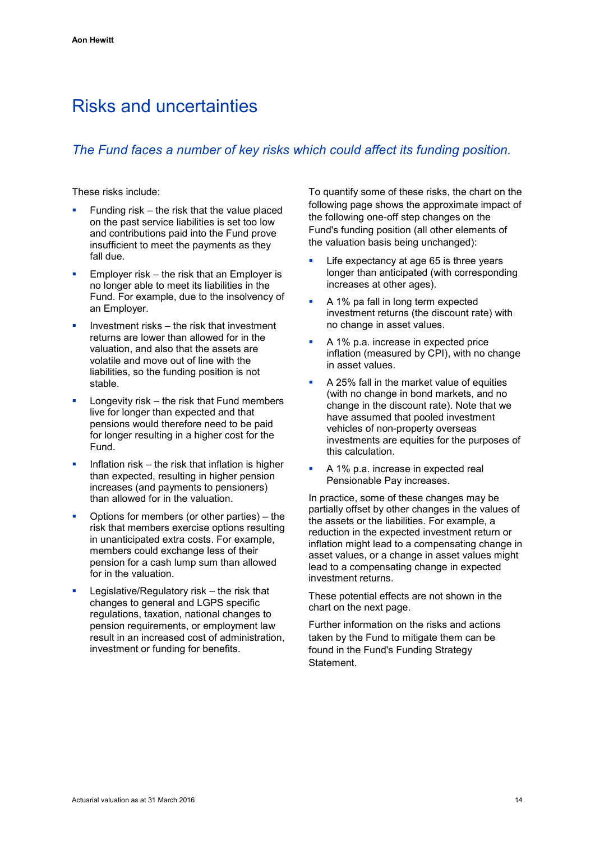# <span id="page-17-0"></span>Risks and uncertainties

# *The Fund faces a number of key risks which could affect its funding position.*

These risks include:

- Funding risk the risk that the value placed on the past service liabilities is set too low and contributions paid into the Fund prove insufficient to meet the payments as they fall due.
- Employer risk the risk that an Employer is no longer able to meet its liabilities in the Fund. For example, due to the insolvency of an Employer.
- Investment risks the risk that investment returns are lower than allowed for in the valuation, and also that the assets are volatile and move out of line with the liabilities, so the funding position is not stable.
- Longevity risk the risk that Fund members live for longer than expected and that pensions would therefore need to be paid for longer resulting in a higher cost for the Fund.
- Inflation risk the risk that inflation is higher than expected, resulting in higher pension increases (and payments to pensioners) than allowed for in the valuation.
- Options for members (or other parties) the risk that members exercise options resulting in unanticipated extra costs. For example, members could exchange less of their pension for a cash lump sum than allowed for in the valuation.
- Legislative/Regulatory risk the risk that changes to general and LGPS specific regulations, taxation, national changes to pension requirements, or employment law result in an increased cost of administration, investment or funding for benefits.

To quantify some of these risks, the chart on the following page shows the approximate impact of the following one-off step changes on the Fund's funding position (all other elements of the valuation basis being unchanged):

- Life expectancy at age 65 is three years longer than anticipated (with corresponding increases at other ages).
- A 1% pa fall in long term expected investment returns (the discount rate) with no change in asset values.
- A 1% p.a. increase in expected price inflation (measured by CPI), with no change in asset values.
- A 25% fall in the market value of equities (with no change in bond markets, and no change in the discount rate). Note that we have assumed that pooled investment vehicles of non-property overseas investments are equities for the purposes of this calculation.
- A 1% p.a. increase in expected real Pensionable Pay increases.

In practice, some of these changes may be partially offset by other changes in the values of the assets or the liabilities. For example, a reduction in the expected investment return or inflation might lead to a compensating change in asset values, or a change in asset values might lead to a compensating change in expected investment returns.

These potential effects are not shown in the chart on the next page.

Further information on the risks and actions taken by the Fund to mitigate them can be found in the Fund's Funding Strategy Statement.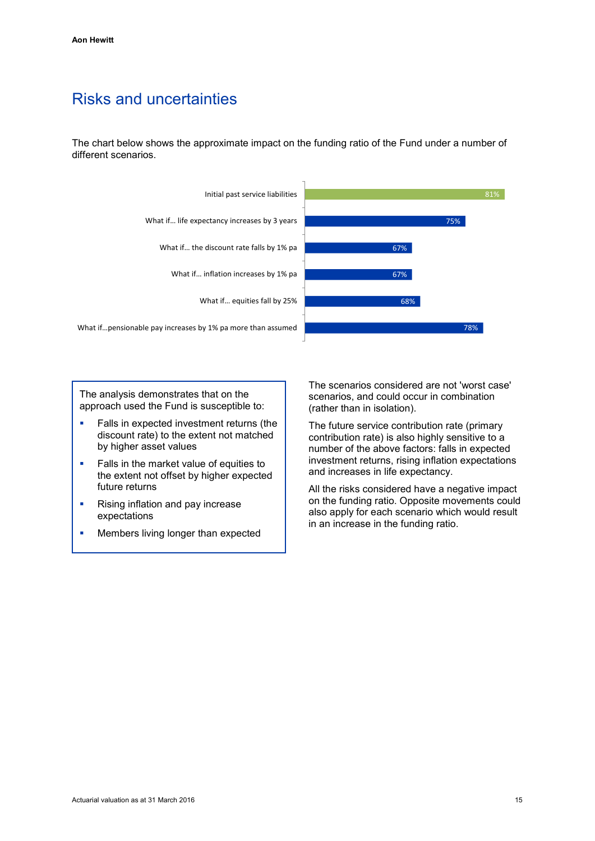# Risks and uncertainties

The chart below shows the approximate impact on the funding ratio of the Fund under a number of different scenarios.



The analysis demonstrates that on the approach used the Fund is susceptible to:

- **Falls in expected investment returns (the** discount rate) to the extent not matched by higher asset values
- Falls in the market value of equities to the extent not offset by higher expected future returns
- Rising inflation and pay increase expectations
- Members living longer than expected

The scenarios considered are not 'worst case' scenarios, and could occur in combination (rather than in isolation).

The future service contribution rate (primary contribution rate) is also highly sensitive to a number of the above factors: falls in expected investment returns, rising inflation expectations and increases in life expectancy.

All the risks considered have a negative impact on the funding ratio. Opposite movements could also apply for each scenario which would result in an increase in the funding ratio.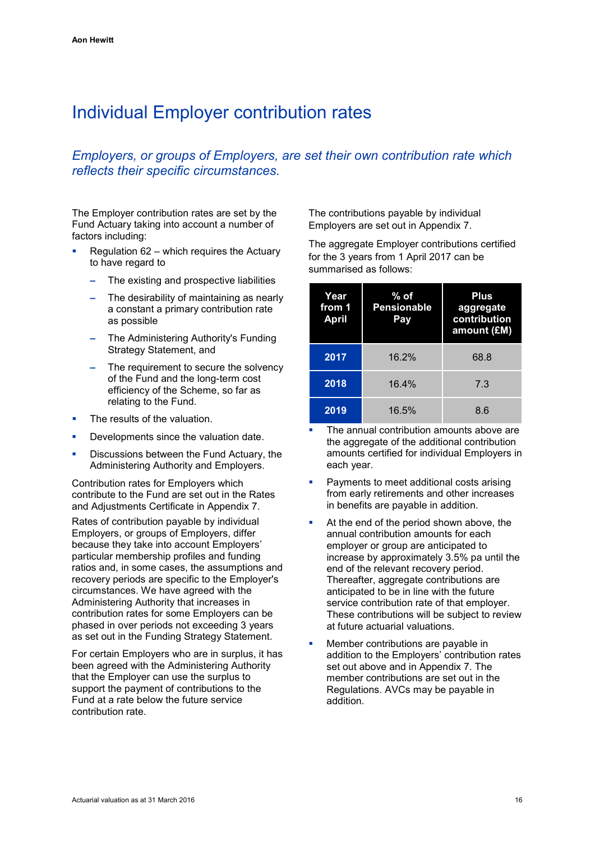# <span id="page-19-0"></span>Individual Employer contribution rates

# *Employers, or groups of Employers, are set their own contribution rate which reflects their specific circumstances.*

The Employer contribution rates are set by the Fund Actuary taking into account a number of factors including:

- Regulation 62 which requires the Actuary to have regard to
	- **–** The existing and prospective liabilities
	- **–** The desirability of maintaining as nearly a constant a primary contribution rate as possible
	- **–** The Administering Authority's Funding Strategy Statement, and
	- **–** The requirement to secure the solvency of the Fund and the long-term cost efficiency of the Scheme, so far as relating to the Fund.
- The results of the valuation.
- Developments since the valuation date.
- Discussions between the Fund Actuary, the Administering Authority and Employers.

Contribution rates for Employers which contribute to the Fund are set out in the Rates and Adjustments Certificate in Appendix 7.

Rates of contribution payable by individual Employers, or groups of Employers, differ because they take into account Employers' particular membership profiles and funding ratios and, in some cases, the assumptions and recovery periods are specific to the Employer's circumstances. We have agreed with the Administering Authority that increases in contribution rates for some Employers can be phased in over periods not exceeding 3 years as set out in the Funding Strategy Statement.

For certain Employers who are in surplus, it has been agreed with the Administering Authority that the Employer can use the surplus to support the payment of contributions to the Fund at a rate below the future service contribution rate.

The contributions payable by individual Employers are set out in Appendix 7.

The aggregate Employer contributions certified for the 3 years from 1 April 2017 can be summarised as follows:

| Year<br>from 1<br><b>April</b> | $%$ of<br><b>Pensionable</b><br>Pay | <b>Plus</b><br>aggregate<br>contribution<br>amount (£M) |
|--------------------------------|-------------------------------------|---------------------------------------------------------|
| 2017                           | 16.2%                               | 68.8                                                    |
| 2018                           | 16.4%                               | 7.3                                                     |
| 2019                           | 16.5%                               | 8.6                                                     |

- The annual contribution amounts above are the aggregate of the additional contribution amounts certified for individual Employers in each year.
- Payments to meet additional costs arising from early retirements and other increases in benefits are payable in addition.
- At the end of the period shown above, the annual contribution amounts for each employer or group are anticipated to increase by approximately 3.5% pa until the end of the relevant recovery period. Thereafter, aggregate contributions are anticipated to be in line with the future service contribution rate of that employer. These contributions will be subject to review at future actuarial valuations.
- Member contributions are payable in addition to the Employers' contribution rates set out above and in Appendix 7. The member contributions are set out in the Regulations. AVCs may be payable in addition.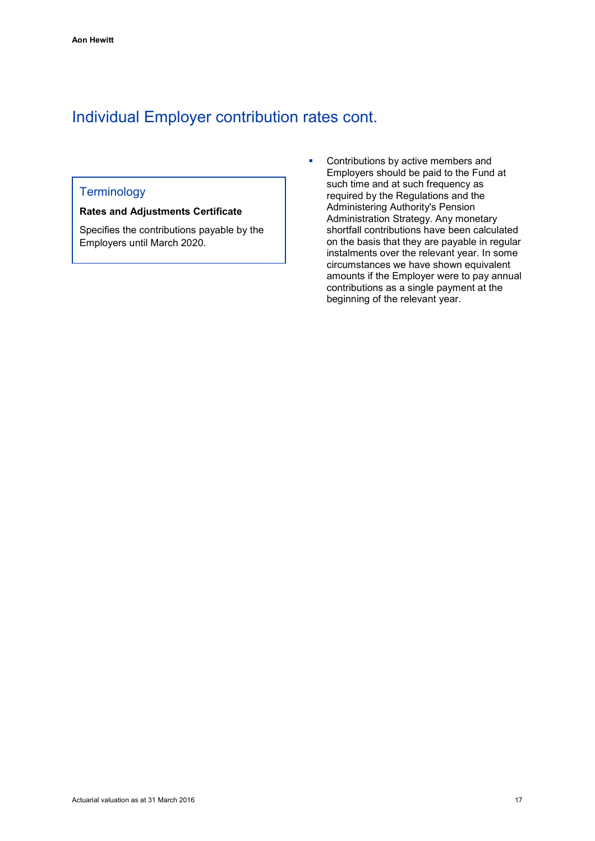# Individual Employer contribution rates cont.

# **Terminology**

#### **Rates and Adjustments Certificate**

Specifies the contributions payable by the Employers until March 2020.

**•** Contributions by active members and Employers should be paid to the Fund at such time and at such frequency as required by the Regulations and the Administering Authority's Pension Administration Strategy. Any monetary shortfall contributions have been calculated on the basis that they are payable in regular instalments over the relevant year. In some circumstances we have shown equivalent amounts if the Employer were to pay annual contributions as a single payment at the beginning of the relevant year.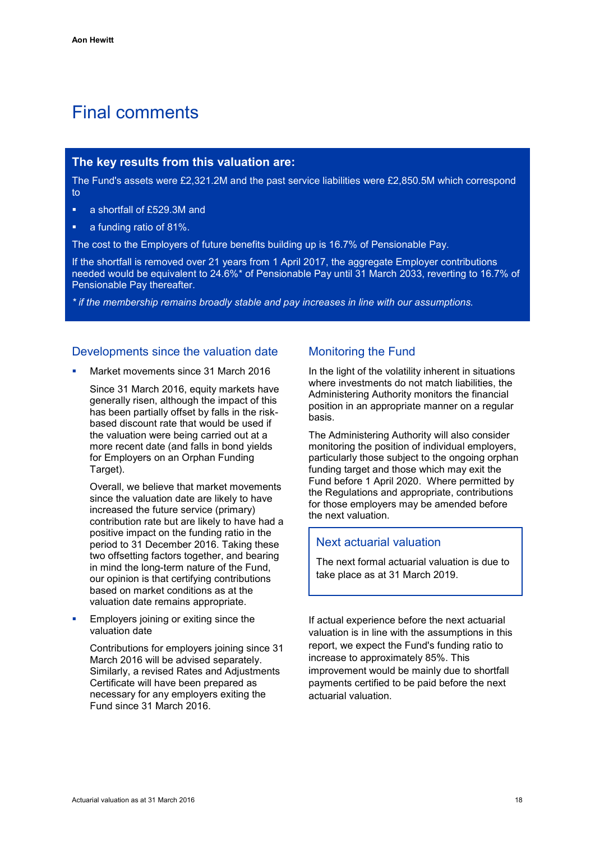# <span id="page-21-0"></span>Final comments

### **The key results from this valuation are:**

The Fund's assets were £2,321.2M and the past service liabilities were £2,850.5M which correspond to

- a shortfall of £529.3M and
- a funding ratio of 81%.

The cost to the Employers of future benefits building up is 16.7% of Pensionable Pay.

If the shortfall is removed over 21 years from 1 April 2017, the aggregate Employer contributions needed would be equivalent to 24.6%\* of Pensionable Pay until 31 March 2033, reverting to 16.7% of Pensionable Pay thereafter.

*\* if the membership remains broadly stable and pay increases in line with our assumptions.*

# Developments since the valuation date

Market movements since 31 March 2016

Since 31 March 2016, equity markets have generally risen, although the impact of this has been partially offset by falls in the riskbased discount rate that would be used if the valuation were being carried out at a more recent date (and falls in bond yields for Employers on an Orphan Funding Target).

Overall, we believe that market movements since the valuation date are likely to have increased the future service (primary) contribution rate but are likely to have had a positive impact on the funding ratio in the period to 31 December 2016. Taking these two offsetting factors together, and bearing in mind the long-term nature of the Fund, our opinion is that certifying contributions based on market conditions as at the valuation date remains appropriate.

 Employers joining or exiting since the valuation date

Contributions for employers joining since 31 March 2016 will be advised separately. Similarly, a revised Rates and Adjustments Certificate will have been prepared as necessary for any employers exiting the Fund since 31 March 2016.

# Monitoring the Fund

In the light of the volatility inherent in situations where investments do not match liabilities, the Administering Authority monitors the financial position in an appropriate manner on a regular basis.

The Administering Authority will also consider monitoring the position of individual employers, particularly those subject to the ongoing orphan funding target and those which may exit the Fund before 1 April 2020. Where permitted by the Regulations and appropriate, contributions for those employers may be amended before the next valuation.

### Next actuarial valuation

The next formal actuarial valuation is due to take place as at 31 March 2019.

If actual experience before the next actuarial valuation is in line with the assumptions in this report, we expect the Fund's funding ratio to increase to approximately 85%. This improvement would be mainly due to shortfall payments certified to be paid before the next actuarial valuation.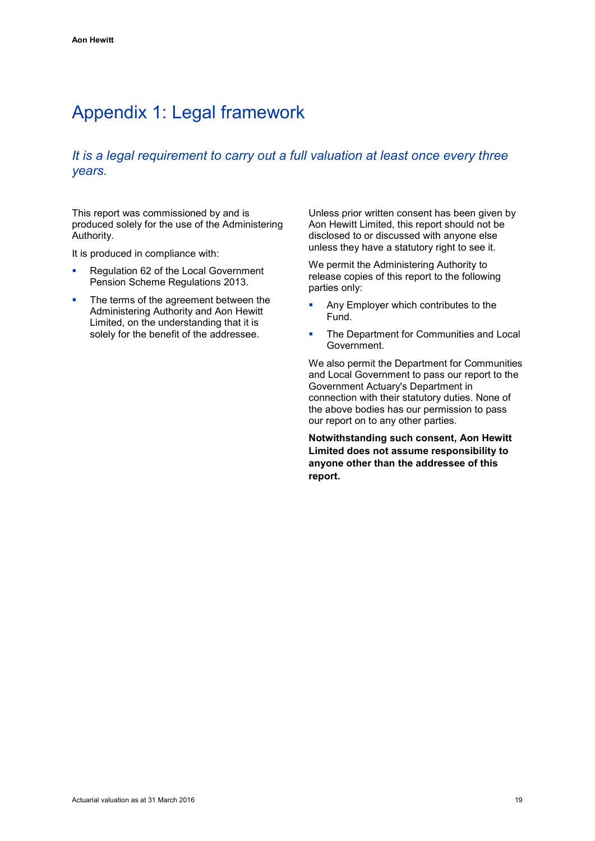# <span id="page-22-0"></span>Appendix 1: Legal framework

# *It is a legal requirement to carry out a full valuation at least once every three years.*

This report was commissioned by and is produced solely for the use of the Administering Authority.

It is produced in compliance with:

- Requiation 62 of the Local Government Pension Scheme Regulations 2013.
- The terms of the agreement between the Administering Authority and Aon Hewitt Limited, on the understanding that it is solely for the benefit of the addressee.

Unless prior written consent has been given by Aon Hewitt Limited, this report should not be disclosed to or discussed with anyone else unless they have a statutory right to see it.

We permit the Administering Authority to release copies of this report to the following parties only:

- **Any Employer which contributes to the** Fund.
- The Department for Communities and Local Government.

We also permit the Department for Communities and Local Government to pass our report to the Government Actuary's Department in connection with their statutory duties. None of the above bodies has our permission to pass our report on to any other parties.

**Notwithstanding such consent, Aon Hewitt Limited does not assume responsibility to anyone other than the addressee of this report.**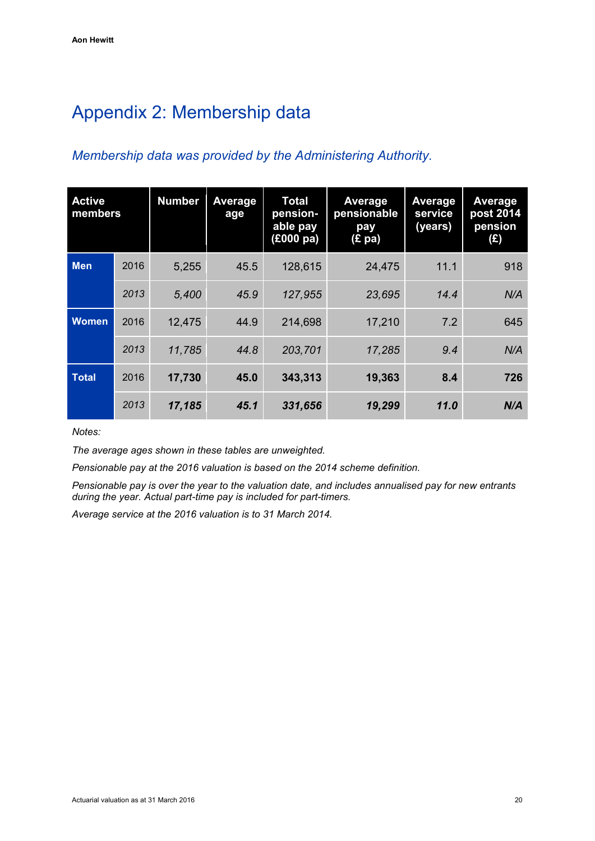# <span id="page-23-0"></span>Appendix 2: Membership data

# *Membership data was provided by the Administering Authority.*

| <b>Active</b><br>members |      | <b>Number</b> | Average<br>age | <b>Total</b><br>pension-<br>able pay<br>(£000 pa) | Average<br>pensionable<br>pay<br>(E pa) | Average<br>service<br>(years) | Average<br>post 2014<br>pension<br>(E) |
|--------------------------|------|---------------|----------------|---------------------------------------------------|-----------------------------------------|-------------------------------|----------------------------------------|
| <b>Men</b>               | 2016 | 5,255         | 45.5           | 128,615                                           | 24,475                                  | 11.1                          | 918                                    |
|                          | 2013 | 5,400         | 45.9           | 127,955                                           | 23,695                                  | 14.4                          | N/A                                    |
| <b>Women</b>             | 2016 | 12,475        | 44.9           | 214,698                                           | 17,210                                  | 7.2                           | 645                                    |
|                          | 2013 | 11,785        | 44.8           | 203,701                                           | 17,285                                  | 9.4                           | N/A                                    |
| <b>Total</b>             | 2016 | 17,730        | 45.0           | 343,313                                           | 19,363                                  | 8.4                           | 726                                    |
|                          | 2013 | 17,185        | 45.1           | 331,656                                           | 19,299                                  | 11.0                          | N/A                                    |

*Notes:*

*The average ages shown in these tables are unweighted.*

*Pensionable pay at the 2016 valuation is based on the 2014 scheme definition.*

*Pensionable pay is over the year to the valuation date, and includes annualised pay for new entrants during the year. Actual part-time pay is included for part-timers.*

*Average service at the 2016 valuation is to 31 March 2014.*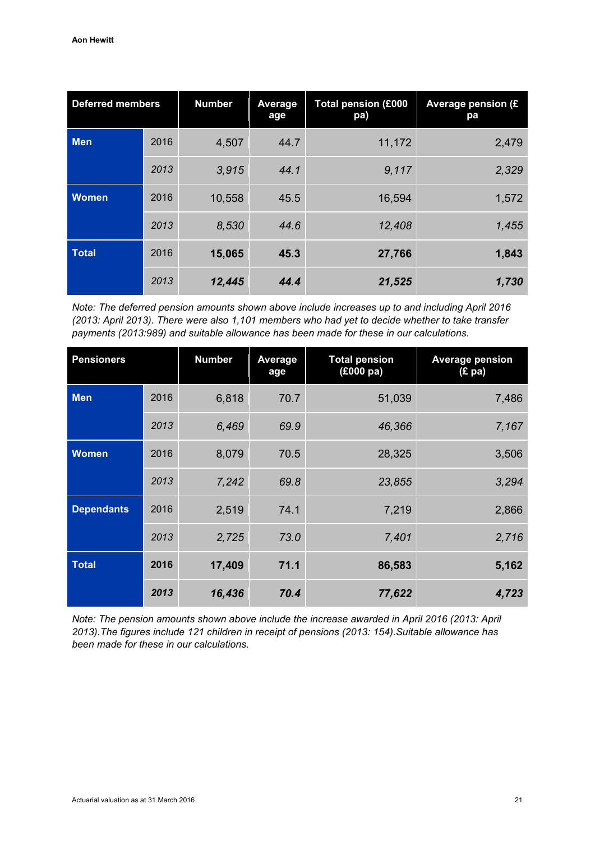| <b>Deferred members</b> |      | <b>Number</b> | Average<br>age | <b>Total pension (£000</b><br>pa) | Average pension (£<br>pa |
|-------------------------|------|---------------|----------------|-----------------------------------|--------------------------|
| <b>Men</b>              | 2016 | 4,507         | 44.7           | 11,172                            | 2,479                    |
|                         | 2013 | 3,915         | 44.1           | 9,117                             | 2,329                    |
| <b>Women</b>            | 2016 | 10,558        | 45.5           | 16,594                            | 1,572                    |
|                         | 2013 | 8,530         | 44.6           | 12,408                            | 1,455                    |
| <b>Total</b>            | 2016 | 15,065        | 45.3           | 27,766                            | 1,843                    |
|                         | 2013 | 12,445        | 44.4           | 21,525                            | 1,730                    |

*Note: The deferred pension amounts shown above include increases up to and including April 2016 (2013: April 2013). There were also 1,101 members who had yet to decide whether to take transfer payments (2013:989) and suitable allowance has been made for these in our calculations.*

| <b>Pensioners</b> |      | <b>Number</b> | <b>Average</b><br>age | <b>Total pension</b><br>(£000 pa) | <b>Average pension</b><br>(E pa) |
|-------------------|------|---------------|-----------------------|-----------------------------------|----------------------------------|
| <b>Men</b>        | 2016 | 6,818         | 70.7                  | 51,039                            | 7,486                            |
|                   | 2013 | 6,469         | 69.9                  | 46,366                            | 7,167                            |
| <b>Women</b>      | 2016 | 8,079         | 70.5                  | 28,325                            | 3,506                            |
|                   | 2013 | 7,242         | 69.8                  | 23,855                            | 3,294                            |
| <b>Dependants</b> | 2016 | 2,519         | 74.1                  | 7,219                             | 2,866                            |
|                   | 2013 | 2,725         | 73.0                  | 7,401                             | 2,716                            |
| <b>Total</b>      | 2016 | 17,409        | 71.1                  | 86,583                            | 5,162                            |
|                   | 2013 | 16,436        | 70.4                  | 77,622                            | 4,723                            |

*Note: The pension amounts shown above include the increase awarded in April 2016 (2013: April 2013).The figures include 121 children in receipt of pensions (2013: 154).Suitable allowance has been made for these in our calculations.*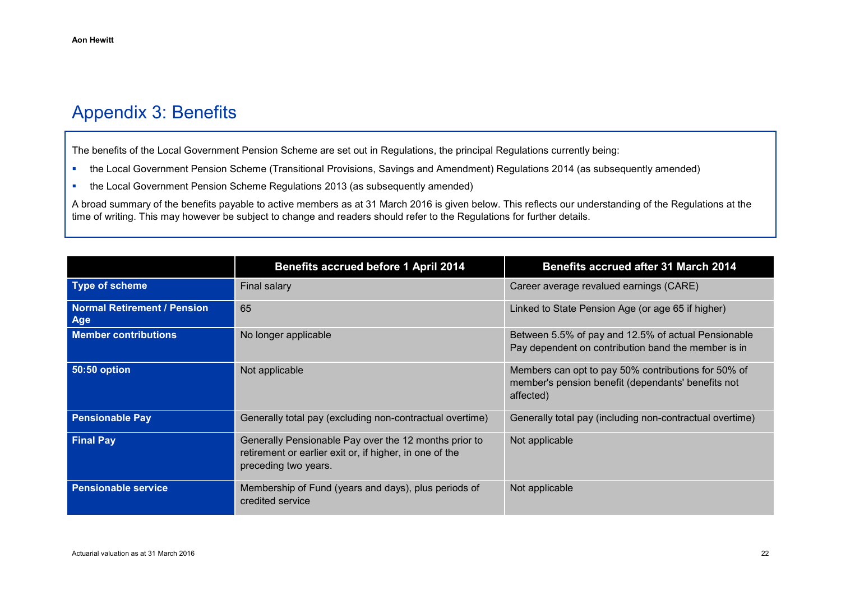# Appendix 3: Benefits

The benefits of the Local Government Pension Scheme are set out in Regulations, the principal Regulations currently being:

- the Local Government Pension Scheme (Transitional Provisions, Savings and Amendment) Regulations 2014 (as subsequently amended)
- the Local Government Pension Scheme Regulations 2013 (as subsequently amended)

A broad summary of the benefits payable to active members as at 31 March 2016 is given below. This reflects our understanding of the Regulations at the time of writing. This may however be subject to change and readers should refer to the Regulations for further details.

<span id="page-25-0"></span>

|                                                  | <b>Benefits accrued before 1 April 2014</b><br><b>Benefits accrued after 31 March 2014</b>                                               |                                                                                                                        |  |  |  |
|--------------------------------------------------|------------------------------------------------------------------------------------------------------------------------------------------|------------------------------------------------------------------------------------------------------------------------|--|--|--|
| <b>Type of scheme</b>                            | Final salary                                                                                                                             | Career average revalued earnings (CARE)                                                                                |  |  |  |
| <b>Normal Retirement / Pension</b><br><b>Age</b> | 65                                                                                                                                       | Linked to State Pension Age (or age 65 if higher)                                                                      |  |  |  |
| <b>Member contributions</b>                      | No longer applicable                                                                                                                     | Between 5.5% of pay and 12.5% of actual Pensionable<br>Pay dependent on contribution band the member is in             |  |  |  |
| <b>50:50 option</b>                              | Not applicable                                                                                                                           | Members can opt to pay 50% contributions for 50% of<br>member's pension benefit (dependants' benefits not<br>affected) |  |  |  |
| <b>Pensionable Pay</b>                           | Generally total pay (excluding non-contractual overtime)                                                                                 | Generally total pay (including non-contractual overtime)                                                               |  |  |  |
| <b>Final Pay</b>                                 | Generally Pensionable Pay over the 12 months prior to<br>retirement or earlier exit or, if higher, in one of the<br>preceding two years. | Not applicable                                                                                                         |  |  |  |
| <b>Pensionable service</b>                       | Membership of Fund (years and days), plus periods of<br>credited service                                                                 | Not applicable                                                                                                         |  |  |  |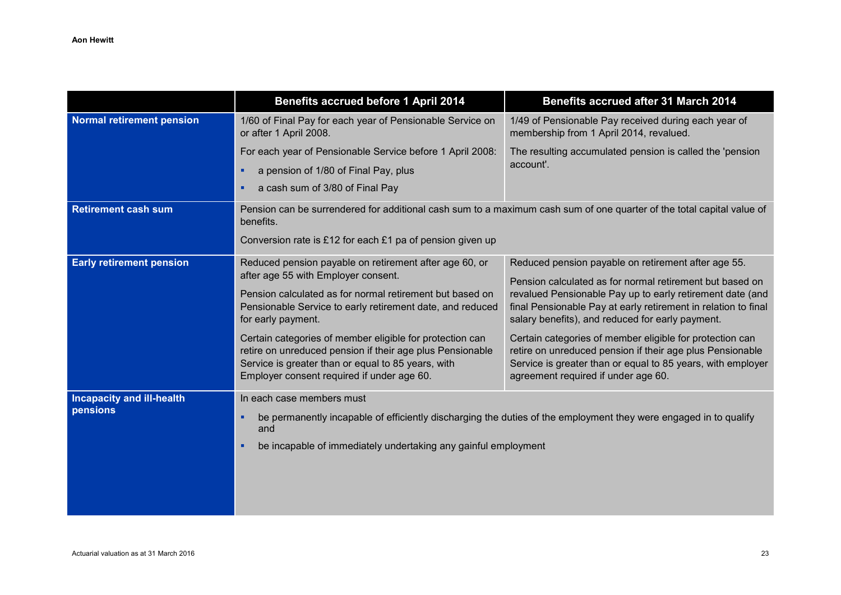|                                              | <b>Benefits accrued before 1 April 2014</b>                                                                                                                                                                                                                                                                                                                                                                                                                               | <b>Benefits accrued after 31 March 2014</b>                                                                                                                                                                                                                                                                                                                                                                                                                                                                                       |
|----------------------------------------------|---------------------------------------------------------------------------------------------------------------------------------------------------------------------------------------------------------------------------------------------------------------------------------------------------------------------------------------------------------------------------------------------------------------------------------------------------------------------------|-----------------------------------------------------------------------------------------------------------------------------------------------------------------------------------------------------------------------------------------------------------------------------------------------------------------------------------------------------------------------------------------------------------------------------------------------------------------------------------------------------------------------------------|
| <b>Normal retirement pension</b>             | 1/60 of Final Pay for each year of Pensionable Service on<br>or after 1 April 2008.                                                                                                                                                                                                                                                                                                                                                                                       | 1/49 of Pensionable Pay received during each year of<br>membership from 1 April 2014, revalued.                                                                                                                                                                                                                                                                                                                                                                                                                                   |
|                                              | For each year of Pensionable Service before 1 April 2008:<br>a pension of 1/80 of Final Pay, plus<br>٠<br>a cash sum of 3/80 of Final Pay<br>٠                                                                                                                                                                                                                                                                                                                            | The resulting accumulated pension is called the 'pension<br>account'.                                                                                                                                                                                                                                                                                                                                                                                                                                                             |
| <b>Retirement cash sum</b>                   | Pension can be surrendered for additional cash sum to a maximum cash sum of one quarter of the total capital value of<br>benefits.<br>Conversion rate is £12 for each £1 pa of pension given up                                                                                                                                                                                                                                                                           |                                                                                                                                                                                                                                                                                                                                                                                                                                                                                                                                   |
| <b>Early retirement pension</b>              | Reduced pension payable on retirement after age 60, or<br>after age 55 with Employer consent.<br>Pension calculated as for normal retirement but based on<br>Pensionable Service to early retirement date, and reduced<br>for early payment.<br>Certain categories of member eligible for protection can<br>retire on unreduced pension if their age plus Pensionable<br>Service is greater than or equal to 85 years, with<br>Employer consent required if under age 60. | Reduced pension payable on retirement after age 55.<br>Pension calculated as for normal retirement but based on<br>revalued Pensionable Pay up to early retirement date (and<br>final Pensionable Pay at early retirement in relation to final<br>salary benefits), and reduced for early payment.<br>Certain categories of member eligible for protection can<br>retire on unreduced pension if their age plus Pensionable<br>Service is greater than or equal to 85 years, with employer<br>agreement required if under age 60. |
| <b>Incapacity and ill-health</b><br>pensions | In each case members must<br>٠<br>and<br>be incapable of immediately undertaking any gainful employment<br>٠                                                                                                                                                                                                                                                                                                                                                              | be permanently incapable of efficiently discharging the duties of the employment they were engaged in to qualify                                                                                                                                                                                                                                                                                                                                                                                                                  |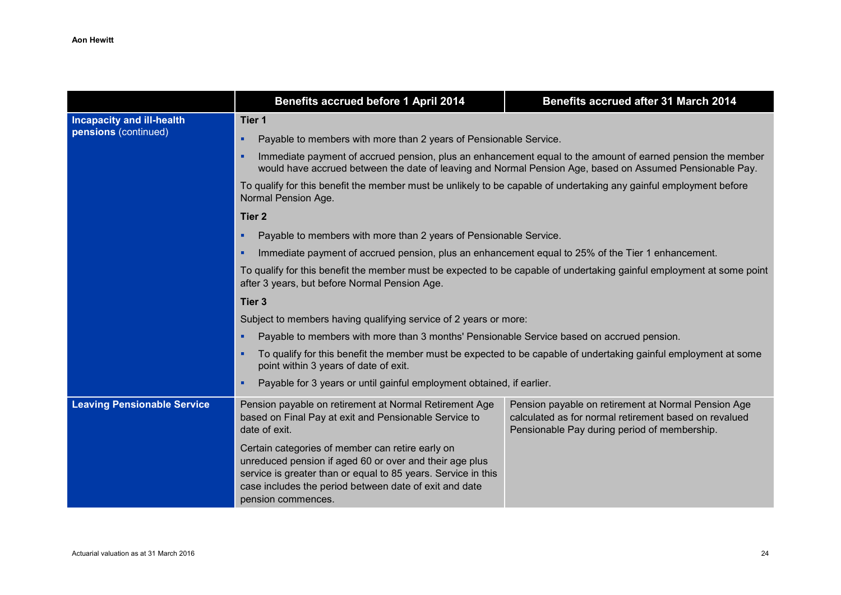|                                    | Benefits accrued before 1 April 2014<br><b>Benefits accrued after 31 March 2014</b>                                                                                                                                                                                                                                                                                      |                                                                                                                 |  |  |  |  |
|------------------------------------|--------------------------------------------------------------------------------------------------------------------------------------------------------------------------------------------------------------------------------------------------------------------------------------------------------------------------------------------------------------------------|-----------------------------------------------------------------------------------------------------------------|--|--|--|--|
| <b>Incapacity and ill-health</b>   | Tier 1                                                                                                                                                                                                                                                                                                                                                                   |                                                                                                                 |  |  |  |  |
| pensions (continued)               | Payable to members with more than 2 years of Pensionable Service.<br>٠                                                                                                                                                                                                                                                                                                   |                                                                                                                 |  |  |  |  |
|                                    | Immediate payment of accrued pension, plus an enhancement equal to the amount of earned pension the member<br>٠<br>would have accrued between the date of leaving and Normal Pension Age, based on Assumed Pensionable Pay.<br>To qualify for this benefit the member must be unlikely to be capable of undertaking any gainful employment before<br>Normal Pension Age. |                                                                                                                 |  |  |  |  |
|                                    |                                                                                                                                                                                                                                                                                                                                                                          |                                                                                                                 |  |  |  |  |
|                                    | Tier <sub>2</sub>                                                                                                                                                                                                                                                                                                                                                        |                                                                                                                 |  |  |  |  |
|                                    | Payable to members with more than 2 years of Pensionable Service.<br>٠                                                                                                                                                                                                                                                                                                   |                                                                                                                 |  |  |  |  |
|                                    | Immediate payment of accrued pension, plus an enhancement equal to 25% of the Tier 1 enhancement.<br>٠                                                                                                                                                                                                                                                                   |                                                                                                                 |  |  |  |  |
|                                    | To qualify for this benefit the member must be expected to be capable of undertaking gainful employment at some point<br>after 3 years, but before Normal Pension Age.                                                                                                                                                                                                   |                                                                                                                 |  |  |  |  |
|                                    | Tier <sub>3</sub>                                                                                                                                                                                                                                                                                                                                                        |                                                                                                                 |  |  |  |  |
|                                    | Subject to members having qualifying service of 2 years or more:                                                                                                                                                                                                                                                                                                         |                                                                                                                 |  |  |  |  |
|                                    | Payable to members with more than 3 months' Pensionable Service based on accrued pension.<br>٠                                                                                                                                                                                                                                                                           |                                                                                                                 |  |  |  |  |
|                                    | ٠<br>point within 3 years of date of exit.                                                                                                                                                                                                                                                                                                                               | To qualify for this benefit the member must be expected to be capable of undertaking gainful employment at some |  |  |  |  |
|                                    | Payable for 3 years or until gainful employment obtained, if earlier.<br>٠                                                                                                                                                                                                                                                                                               |                                                                                                                 |  |  |  |  |
| <b>Leaving Pensionable Service</b> | Pension payable on retirement at Normal Retirement Age<br>Pension payable on retirement at Normal Pension Age<br>based on Final Pay at exit and Pensionable Service to<br>calculated as for normal retirement based on revalued<br>date of exit.<br>Pensionable Pay during period of membership.                                                                         |                                                                                                                 |  |  |  |  |
|                                    | Certain categories of member can retire early on<br>unreduced pension if aged 60 or over and their age plus<br>service is greater than or equal to 85 years. Service in this<br>case includes the period between date of exit and date<br>pension commences.                                                                                                             |                                                                                                                 |  |  |  |  |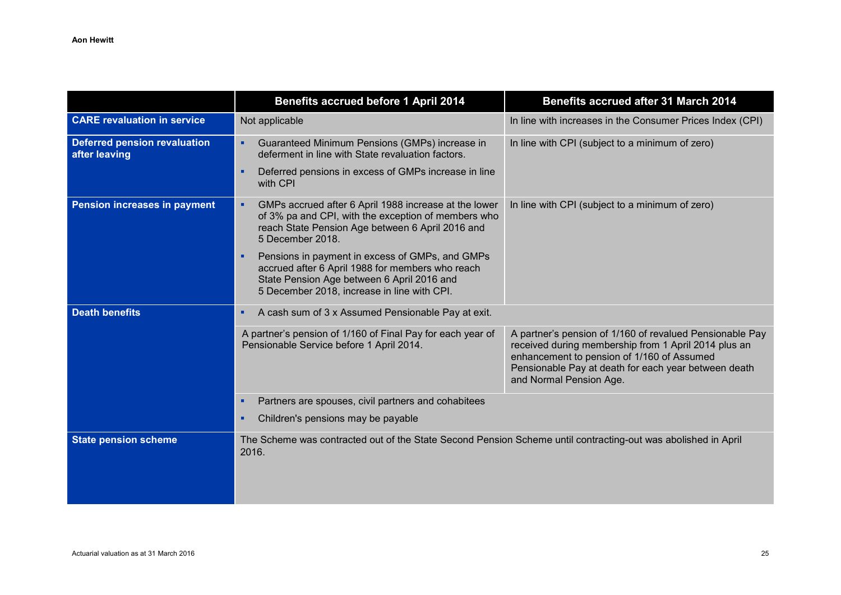|                                                      | <b>Benefits accrued before 1 April 2014</b>                                                                                                                                                           | <b>Benefits accrued after 31 March 2014</b>                                                                                                                                                                                                       |
|------------------------------------------------------|-------------------------------------------------------------------------------------------------------------------------------------------------------------------------------------------------------|---------------------------------------------------------------------------------------------------------------------------------------------------------------------------------------------------------------------------------------------------|
| <b>CARE revaluation in service</b>                   | Not applicable                                                                                                                                                                                        | In line with increases in the Consumer Prices Index (CPI)                                                                                                                                                                                         |
| <b>Deferred pension revaluation</b><br>after leaving | Guaranteed Minimum Pensions (GMPs) increase in<br>٠<br>deferment in line with State revaluation factors.                                                                                              | In line with CPI (subject to a minimum of zero)                                                                                                                                                                                                   |
|                                                      | Deferred pensions in excess of GMPs increase in line<br>٠<br>with CPI                                                                                                                                 |                                                                                                                                                                                                                                                   |
| Pension increases in payment                         | GMPs accrued after 6 April 1988 increase at the lower<br>×<br>of 3% pa and CPI, with the exception of members who<br>reach State Pension Age between 6 April 2016 and<br>5 December 2018.             | In line with CPI (subject to a minimum of zero)                                                                                                                                                                                                   |
|                                                      | Pensions in payment in excess of GMPs, and GMPs<br>×<br>accrued after 6 April 1988 for members who reach<br>State Pension Age between 6 April 2016 and<br>5 December 2018, increase in line with CPI. |                                                                                                                                                                                                                                                   |
| <b>Death benefits</b>                                | A cash sum of 3 x Assumed Pensionable Pay at exit.<br>×                                                                                                                                               |                                                                                                                                                                                                                                                   |
|                                                      | A partner's pension of 1/160 of Final Pay for each year of<br>Pensionable Service before 1 April 2014.                                                                                                | A partner's pension of 1/160 of revalued Pensionable Pay<br>received during membership from 1 April 2014 plus an<br>enhancement to pension of 1/160 of Assumed<br>Pensionable Pay at death for each year between death<br>and Normal Pension Age. |
|                                                      | Partners are spouses, civil partners and cohabitees<br>×                                                                                                                                              |                                                                                                                                                                                                                                                   |
|                                                      | Children's pensions may be payable<br>٠                                                                                                                                                               |                                                                                                                                                                                                                                                   |
| <b>State pension scheme</b>                          | The Scheme was contracted out of the State Second Pension Scheme until contracting-out was abolished in April<br>2016.                                                                                |                                                                                                                                                                                                                                                   |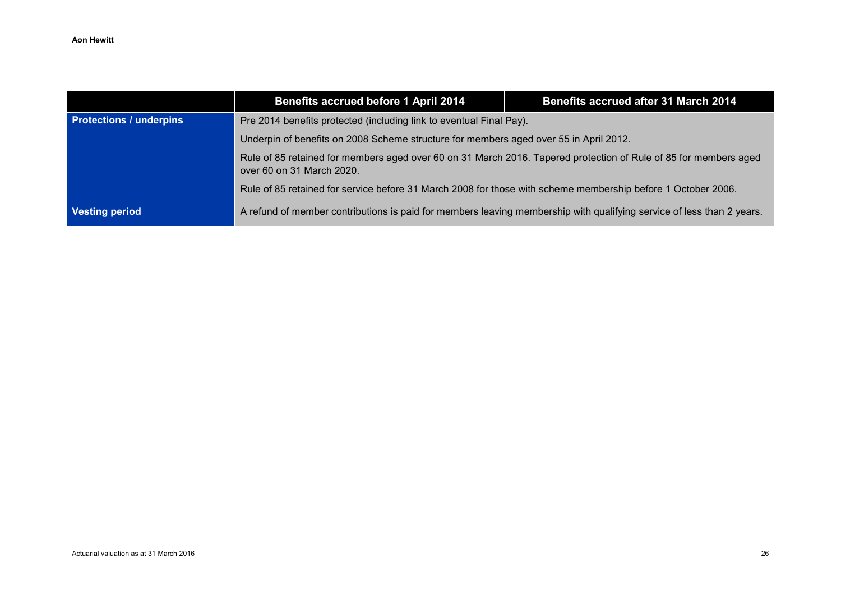|                                | Benefits accrued before 1 April 2014                                                                                                          | Benefits accrued after 31 March 2014 |
|--------------------------------|-----------------------------------------------------------------------------------------------------------------------------------------------|--------------------------------------|
| <b>Protections / underpins</b> | Pre 2014 benefits protected (including link to eventual Final Pay).                                                                           |                                      |
|                                | Underpin of benefits on 2008 Scheme structure for members aged over 55 in April 2012.                                                         |                                      |
|                                | Rule of 85 retained for members aged over 60 on 31 March 2016. Tapered protection of Rule of 85 for members aged<br>over 60 on 31 March 2020. |                                      |
|                                | Rule of 85 retained for service before 31 March 2008 for those with scheme membership before 1 October 2006.                                  |                                      |
| <b>Vesting period</b>          | A refund of member contributions is paid for members leaving membership with qualifying service of less than 2 years.                         |                                      |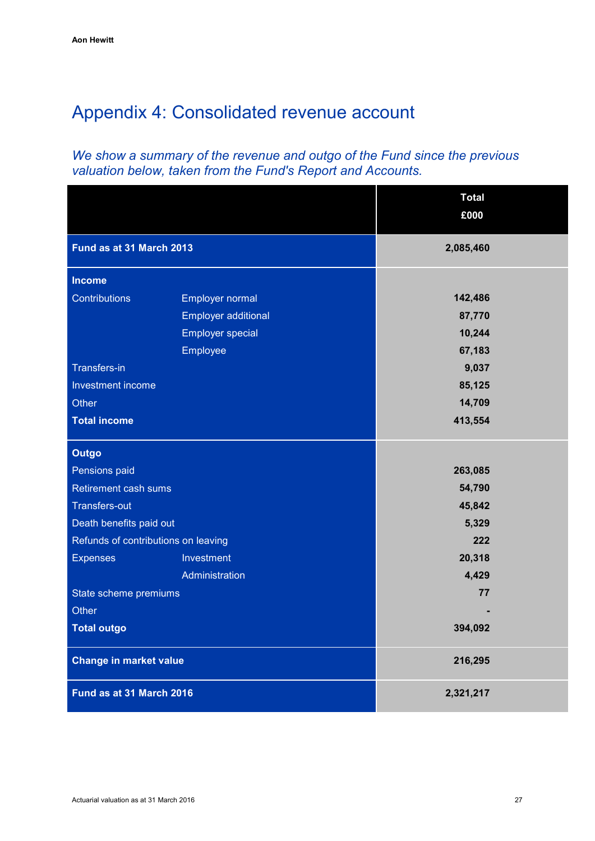# <span id="page-30-0"></span>Appendix 4: Consolidated revenue account

# *We show a summary of the revenue and outgo of the Fund since the previous valuation below, taken from the Fund's Report and Accounts.*

|                                     |                            | <b>Total</b> |  |  |
|-------------------------------------|----------------------------|--------------|--|--|
|                                     |                            | £000         |  |  |
| Fund as at 31 March 2013            |                            | 2,085,460    |  |  |
| <b>Income</b>                       |                            |              |  |  |
| Contributions                       | Employer normal            | 142,486      |  |  |
|                                     | <b>Employer additional</b> | 87,770       |  |  |
|                                     | <b>Employer special</b>    | 10,244       |  |  |
|                                     | Employee                   | 67,183       |  |  |
| <b>Transfers-in</b>                 |                            | 9,037        |  |  |
| Investment income                   |                            | 85,125       |  |  |
| Other                               |                            | 14,709       |  |  |
| <b>Total income</b>                 |                            | 413,554      |  |  |
| <b>Outgo</b>                        |                            |              |  |  |
| Pensions paid                       |                            | 263,085      |  |  |
| Retirement cash sums                |                            | 54,790       |  |  |
| <b>Transfers-out</b>                |                            | 45,842       |  |  |
| Death benefits paid out             |                            | 5,329        |  |  |
| Refunds of contributions on leaving |                            | 222          |  |  |
| <b>Expenses</b>                     | Investment                 | 20,318       |  |  |
|                                     | Administration             | 4,429        |  |  |
| State scheme premiums               |                            | 77           |  |  |
| Other                               |                            |              |  |  |
| <b>Total outgo</b>                  |                            | 394,092      |  |  |
| <b>Change in market value</b>       |                            | 216,295      |  |  |
| Fund as at 31 March 2016            |                            | 2,321,217    |  |  |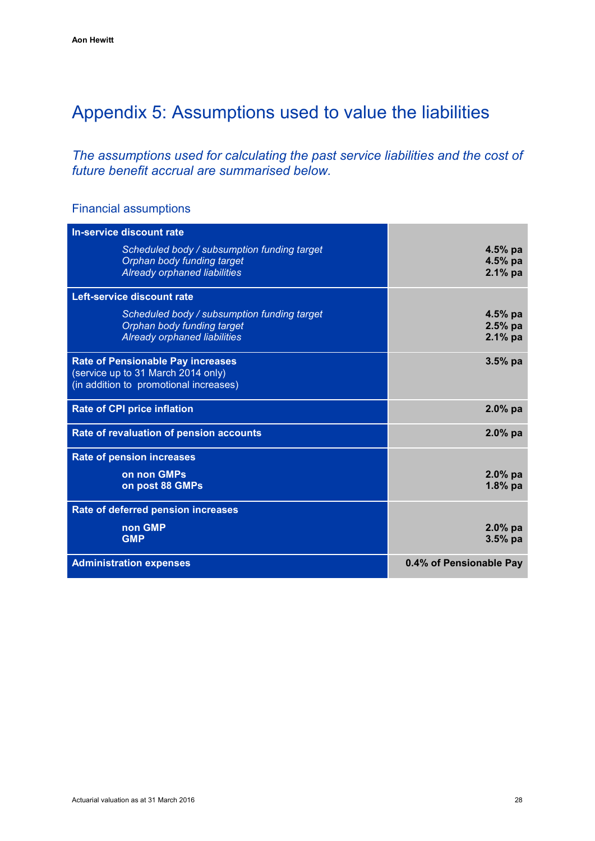# <span id="page-31-0"></span>Appendix 5: Assumptions used to value the liabilities

*The assumptions used for calculating the past service liabilities and the cost of future benefit accrual are summarised below.* 

# Financial assumptions

| In-service discount rate                                                                                                 |                                     |
|--------------------------------------------------------------------------------------------------------------------------|-------------------------------------|
| Scheduled body / subsumption funding target<br>Orphan body funding target<br>Already orphaned liabilities                | 4.5% pa<br>$4.5%$ pa<br>$2.1\%$ pa  |
| Left-service discount rate                                                                                               |                                     |
| Scheduled body / subsumption funding target<br>Orphan body funding target<br>Already orphaned liabilities                | $4.5%$ pa<br>$2.5%$ pa<br>$2.1%$ pa |
| <b>Rate of Pensionable Pay increases</b><br>(service up to 31 March 2014 only)<br>(in addition to promotional increases) | $3.5%$ pa                           |
| <b>Rate of CPI price inflation</b>                                                                                       | $2.0\%$ pa                          |
| Rate of revaluation of pension accounts                                                                                  | $2.0%$ pa                           |
| <b>Rate of pension increases</b>                                                                                         |                                     |
| on non GMPs<br>on post 88 GMPs                                                                                           | $2.0%$ pa<br>$1.8%$ pa              |
| Rate of deferred pension increases                                                                                       |                                     |
| non GMP<br><b>GMP</b>                                                                                                    | $2.0%$ pa<br>$3.5%$ pa              |
| <b>Administration expenses</b>                                                                                           | 0.4% of Pensionable Pay             |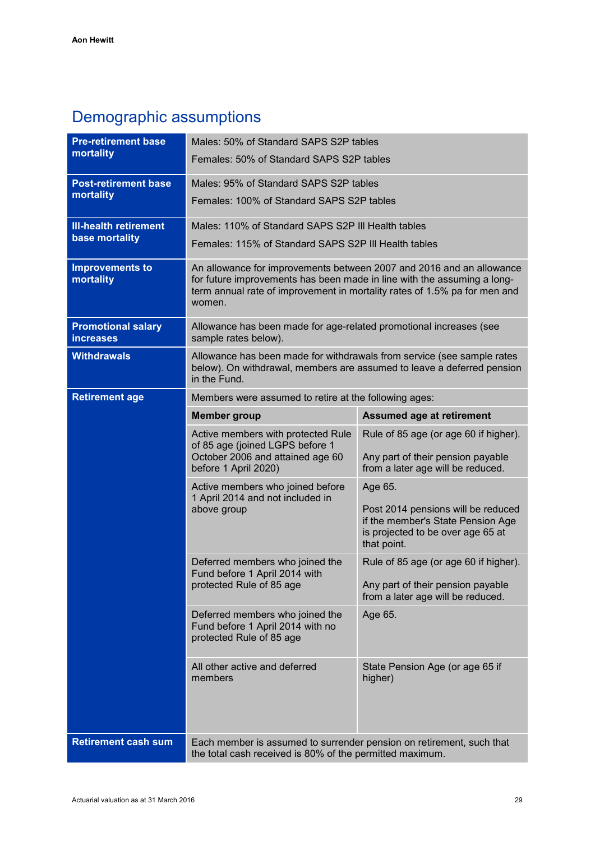# Demographic assumptions

| <b>Pre-retirement base</b>                    | Males: 50% of Standard SAPS S2P tables                                                                                                                                                                                                 |                                                                                                                                        |  |  |  |  |
|-----------------------------------------------|----------------------------------------------------------------------------------------------------------------------------------------------------------------------------------------------------------------------------------------|----------------------------------------------------------------------------------------------------------------------------------------|--|--|--|--|
| mortality                                     | Females: 50% of Standard SAPS S2P tables                                                                                                                                                                                               |                                                                                                                                        |  |  |  |  |
| <b>Post-retirement base</b>                   | Males: 95% of Standard SAPS S2P tables                                                                                                                                                                                                 |                                                                                                                                        |  |  |  |  |
| mortality                                     | Females: 100% of Standard SAPS S2P tables                                                                                                                                                                                              |                                                                                                                                        |  |  |  |  |
| <b>III-health retirement</b>                  | Males: 110% of Standard SAPS S2P III Health tables                                                                                                                                                                                     |                                                                                                                                        |  |  |  |  |
| base mortality                                | Females: 115% of Standard SAPS S2P III Health tables                                                                                                                                                                                   |                                                                                                                                        |  |  |  |  |
| <b>Improvements to</b><br>mortality           | An allowance for improvements between 2007 and 2016 and an allowance<br>for future improvements has been made in line with the assuming a long-<br>term annual rate of improvement in mortality rates of 1.5% pa for men and<br>women. |                                                                                                                                        |  |  |  |  |
| <b>Promotional salary</b><br><b>increases</b> | Allowance has been made for age-related promotional increases (see<br>sample rates below).                                                                                                                                             |                                                                                                                                        |  |  |  |  |
| <b>Withdrawals</b>                            | Allowance has been made for withdrawals from service (see sample rates<br>below). On withdrawal, members are assumed to leave a deferred pension<br>in the Fund.                                                                       |                                                                                                                                        |  |  |  |  |
| <b>Retirement age</b>                         | Members were assumed to retire at the following ages:                                                                                                                                                                                  |                                                                                                                                        |  |  |  |  |
|                                               | <b>Member group</b>                                                                                                                                                                                                                    | <b>Assumed age at retirement</b>                                                                                                       |  |  |  |  |
|                                               | Active members with protected Rule<br>of 85 age (joined LGPS before 1<br>October 2006 and attained age 60<br>before 1 April 2020)                                                                                                      | Rule of 85 age (or age 60 if higher).<br>Any part of their pension payable<br>from a later age will be reduced.                        |  |  |  |  |
|                                               | Active members who joined before<br>1 April 2014 and not included in<br>above group                                                                                                                                                    | Age 65.<br>Post 2014 pensions will be reduced<br>if the member's State Pension Age<br>is projected to be over age 65 at<br>that point. |  |  |  |  |
|                                               | Deferred members who joined the<br>Fund before 1 April 2014 with<br>protected Rule of 85 age                                                                                                                                           | Rule of 85 age (or age 60 if higher).<br>Any part of their pension payable<br>from a later age will be reduced.                        |  |  |  |  |
|                                               | Deferred members who joined the<br>Fund before 1 April 2014 with no<br>protected Rule of 85 age                                                                                                                                        | Age 65.                                                                                                                                |  |  |  |  |
|                                               | All other active and deferred<br>members                                                                                                                                                                                               | State Pension Age (or age 65 if<br>higher)                                                                                             |  |  |  |  |
| <b>Retirement cash sum</b>                    | Each member is assumed to surrender pension on retirement, such that<br>the total cash received is 80% of the permitted maximum.                                                                                                       |                                                                                                                                        |  |  |  |  |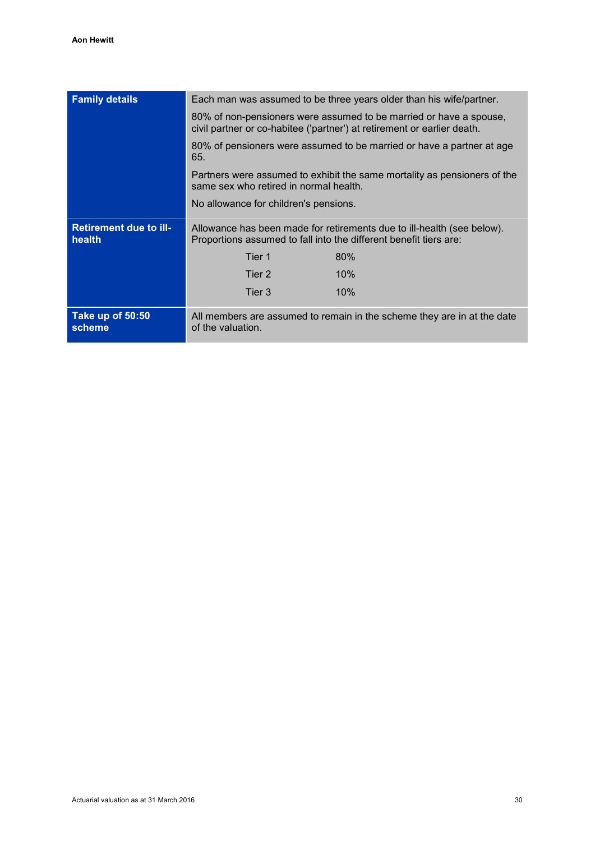| <b>Family details</b>                   | Each man was assumed to be three years older than his wife/partner.                                                                           |  |  |  |  |
|-----------------------------------------|-----------------------------------------------------------------------------------------------------------------------------------------------|--|--|--|--|
|                                         |                                                                                                                                               |  |  |  |  |
|                                         | 80% of non-pensioners were assumed to be married or have a spouse,<br>civil partner or co-habitee ('partner') at retirement or earlier death. |  |  |  |  |
|                                         | 80% of pensioners were assumed to be married or have a partner at age<br>65.                                                                  |  |  |  |  |
|                                         | Partners were assumed to exhibit the same mortality as pensioners of the<br>same sex who retired in normal health.                            |  |  |  |  |
|                                         | No allowance for children's pensions.                                                                                                         |  |  |  |  |
| <b>Retirement due to ill-</b><br>health | Allowance has been made for retirements due to ill-health (see below).<br>Proportions assumed to fall into the different benefit tiers are:   |  |  |  |  |
|                                         | Tier 1<br>80%                                                                                                                                 |  |  |  |  |
|                                         | Tier 2<br>10%                                                                                                                                 |  |  |  |  |
|                                         | 10%<br>Tier 3                                                                                                                                 |  |  |  |  |
| Take up of 50:50<br>scheme              | All members are assumed to remain in the scheme they are in at the date<br>of the valuation.                                                  |  |  |  |  |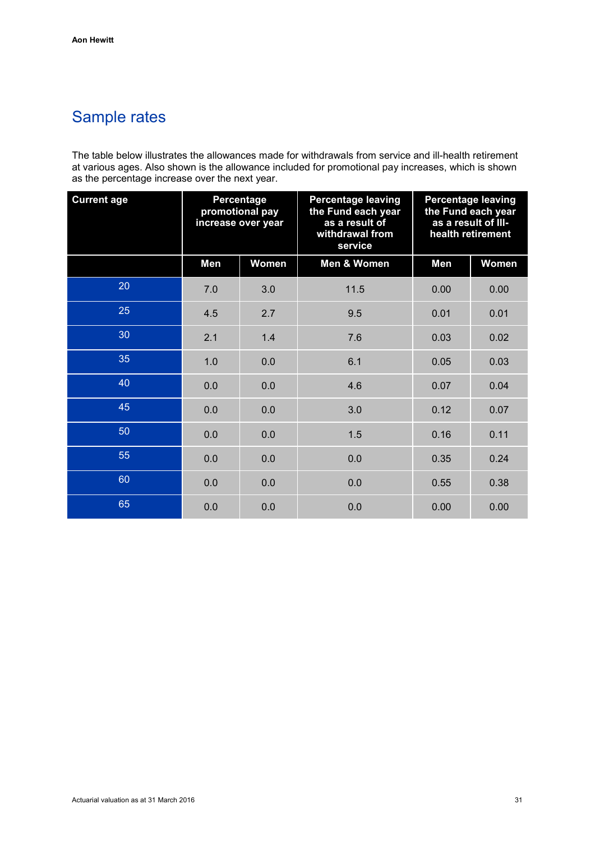# Sample rates

The table below illustrates the allowances made for withdrawals from service and ill-health retirement at various ages. Also shown is the allowance included for promotional pay increases, which is shown as the percentage increase over the next year.

| <b>Current age</b> | Percentage<br>promotional pay<br>increase over year |       | <b>Percentage leaving</b><br>the Fund each year<br>as a result of<br>withdrawal from<br>service | <b>Percentage leaving</b><br>the Fund each year<br>as a result of III-<br>health retirement |       |  |
|--------------------|-----------------------------------------------------|-------|-------------------------------------------------------------------------------------------------|---------------------------------------------------------------------------------------------|-------|--|
|                    | Men                                                 | Women | Men & Women                                                                                     | Men                                                                                         | Women |  |
| 20                 | 7.0                                                 | 3.0   | 11.5                                                                                            | 0.00                                                                                        | 0.00  |  |
| 25                 | 4.5                                                 | 2.7   | 9.5                                                                                             | 0.01                                                                                        | 0.01  |  |
| 30                 | 2.1                                                 | 1.4   | 7.6                                                                                             | 0.03                                                                                        | 0.02  |  |
| 35                 | 1.0                                                 | 0.0   | 6.1                                                                                             | 0.05                                                                                        | 0.03  |  |
| 40                 | 0.0                                                 | 0.0   | 4.6                                                                                             | 0.07                                                                                        | 0.04  |  |
| 45                 | 0.0                                                 | 0.0   | 3.0                                                                                             | 0.12                                                                                        | 0.07  |  |
| 50                 | 0.0                                                 | 0.0   | 1.5                                                                                             | 0.16                                                                                        | 0.11  |  |
| 55                 | 0.0                                                 | 0.0   | 0.0                                                                                             | 0.35                                                                                        | 0.24  |  |
| 60                 | 0.0                                                 | 0.0   | 0.0                                                                                             | 0.55                                                                                        | 0.38  |  |
| 65                 | 0.0                                                 | 0.0   | 0.0                                                                                             | 0.00                                                                                        | 0.00  |  |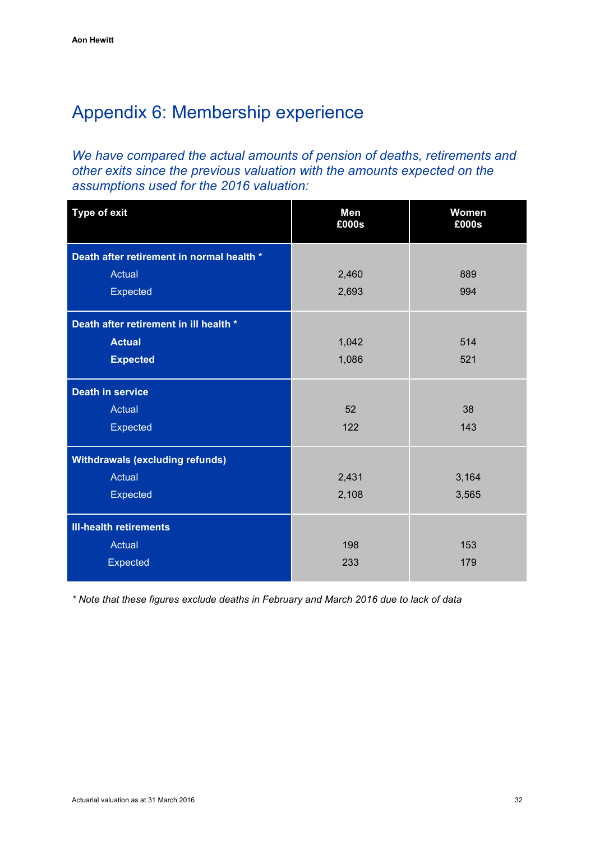# <span id="page-35-0"></span>Appendix 6: Membership experience

*We have compared the actual amounts of pension of deaths, retirements and other exits since the previous valuation with the amounts expected on the assumptions used for the 2016 valuation:*

| <b>Type of exit</b>                       | <b>Men</b><br>£000s | Women<br>£000s |
|-------------------------------------------|---------------------|----------------|
| Death after retirement in normal health * |                     |                |
| Actual                                    | 2,460               | 889            |
| Expected                                  | 2,693               | 994            |
| Death after retirement in ill health *    |                     |                |
| <b>Actual</b>                             | 1,042               | 514            |
| <b>Expected</b>                           | 1,086               | 521            |
| <b>Death in service</b>                   |                     |                |
| Actual                                    | 52                  | 38             |
| Expected                                  | 122                 | 143            |
| <b>Withdrawals (excluding refunds)</b>    |                     |                |
| <b>Actual</b>                             | 2,431               | 3,164          |
| Expected                                  | 2,108               | 3,565          |
| <b>III-health retirements</b>             |                     |                |
| Actual                                    | 198                 | 153            |
| <b>Expected</b>                           | 233                 | 179            |

*\* Note that these figures exclude deaths in February and March 2016 due to lack of data*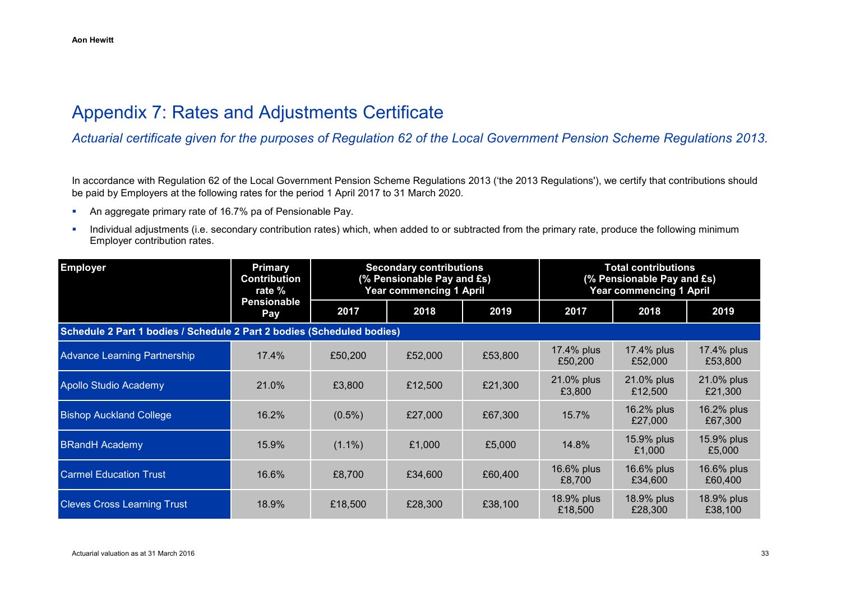# Appendix 7: Rates and Adjustments Certificate

*Actuarial certificate given for the purposes of Regulation 62 of the Local Government Pension Scheme Regulations 2013.*

In accordance with Regulation 62 of the Local Government Pension Scheme Regulations 2013 ('the 2013 Regulations'), we certify that contributions should be paid by Employers at the following rates for the period 1 April 2017 to 31 March 2020.

- An aggregate primary rate of 16.7% pa of Pensionable Pay.
- **Individual adjustments (i.e. secondary contribution rates) which, when added to or subtracted from the primary rate, produce the following minimum** Employer contribution rates.

<span id="page-36-0"></span>

| <b>Employer</b>                                                        | <b>Primary</b><br><b>Contribution</b><br>rate % |           | <b>Secondary contributions</b><br>(% Pensionable Pay and £s)<br><b>Year commencing 1 April</b> |         | <b>Total contributions</b><br>(% Pensionable Pay and £s)<br><b>Year commencing 1 April</b> |                       |                       |
|------------------------------------------------------------------------|-------------------------------------------------|-----------|------------------------------------------------------------------------------------------------|---------|--------------------------------------------------------------------------------------------|-----------------------|-----------------------|
|                                                                        | <b>Pensionable</b><br>Pay                       | 2017      | 2018                                                                                           | 2019    | 2017                                                                                       | 2018                  | 2019                  |
| Schedule 2 Part 1 bodies / Schedule 2 Part 2 bodies (Scheduled bodies) |                                                 |           |                                                                                                |         |                                                                                            |                       |                       |
| <b>Advance Learning Partnership</b>                                    | 17.4%                                           | £50,200   | £52,000                                                                                        | £53,800 | 17.4% plus<br>£50,200                                                                      | 17.4% plus<br>£52,000 | 17.4% plus<br>£53,800 |
| Apollo Studio Academy                                                  | 21.0%                                           | £3,800    | £12,500                                                                                        | £21,300 | 21.0% plus<br>£3,800                                                                       | 21.0% plus<br>£12,500 | 21.0% plus<br>£21,300 |
| <b>Bishop Auckland College</b>                                         | 16.2%                                           | $(0.5\%)$ | £27,000                                                                                        | £67,300 | 15.7%                                                                                      | 16.2% plus<br>£27,000 | 16.2% plus<br>£67,300 |
| <b>BRandH Academy</b>                                                  | 15.9%                                           | $(1.1\%)$ | £1,000                                                                                         | £5,000  | 14.8%                                                                                      | 15.9% plus<br>£1,000  | 15.9% plus<br>£5,000  |
| <b>Carmel Education Trust</b>                                          | 16.6%                                           | £8,700    | £34,600                                                                                        | £60,400 | 16.6% plus<br>£8,700                                                                       | 16.6% plus<br>£34,600 | 16.6% plus<br>£60,400 |
| <b>Cleves Cross Learning Trust</b>                                     | 18.9%                                           | £18,500   | £28,300                                                                                        | £38,100 | 18.9% plus<br>£18,500                                                                      | 18.9% plus<br>£28,300 | 18.9% plus<br>£38,100 |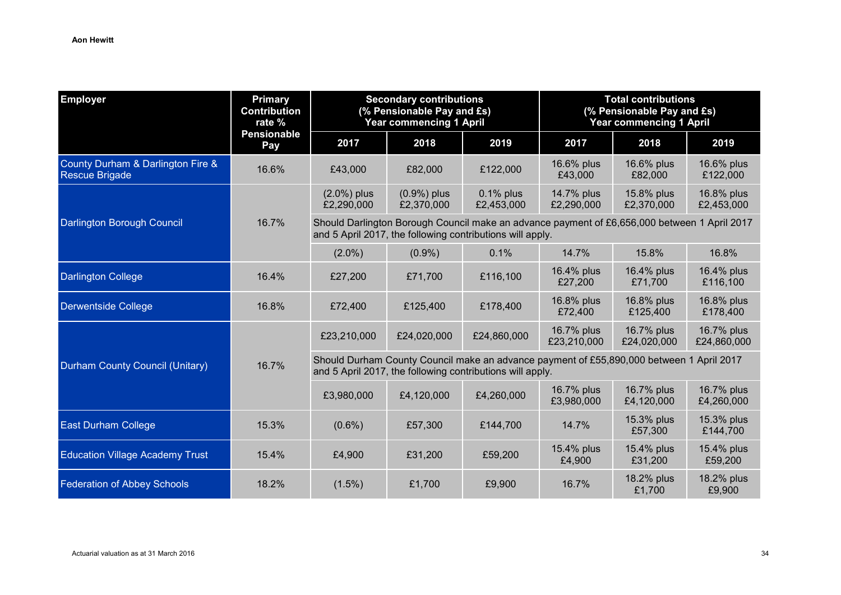| <b>Employer</b>                                     | <b>Primary</b><br><b>Secondary contributions</b><br>(% Pensionable Pay and £s)<br><b>Contribution</b><br>rate %<br><b>Year commencing 1 April</b> |                                                                                                                                                           | <b>Total contributions</b><br>(% Pensionable Pay and £s)<br><b>Year commencing 1 April</b> |                            |                           |                           |                           |  |
|-----------------------------------------------------|---------------------------------------------------------------------------------------------------------------------------------------------------|-----------------------------------------------------------------------------------------------------------------------------------------------------------|--------------------------------------------------------------------------------------------|----------------------------|---------------------------|---------------------------|---------------------------|--|
|                                                     | <b>Pensionable</b><br>Pay                                                                                                                         | 2017                                                                                                                                                      | 2018                                                                                       | 2019                       | 2017                      | 2018                      | 2019                      |  |
| County Durham & Darlington Fire &<br>Rescue Brigade | 16.6%                                                                                                                                             | £43,000                                                                                                                                                   | £82,000                                                                                    | £122,000                   | 16.6% plus<br>£43,000     | 16.6% plus<br>£82,000     | 16.6% plus<br>£122,000    |  |
|                                                     | 16.7%                                                                                                                                             | $(2.0\%)$ plus<br>£2,290,000                                                                                                                              | (0.9%) plus<br>£2,370,000                                                                  | $0.1\%$ plus<br>£2,453,000 | 14.7% plus<br>£2,290,000  | 15.8% plus<br>£2,370,000  | 16.8% plus<br>£2,453,000  |  |
| Darlington Borough Council                          |                                                                                                                                                   | Should Darlington Borough Council make an advance payment of £6,656,000 between 1 April 2017<br>and 5 April 2017, the following contributions will apply. |                                                                                            |                            |                           |                           |                           |  |
|                                                     |                                                                                                                                                   | $(2.0\%)$                                                                                                                                                 | $(0.9\%)$                                                                                  | 0.1%                       | 14.7%                     | 15.8%                     | 16.8%                     |  |
| <b>Darlington College</b>                           | 16.4%                                                                                                                                             | £27,200                                                                                                                                                   | £71,700                                                                                    | £116,100                   | 16.4% plus<br>£27,200     | 16.4% plus<br>£71,700     | 16.4% plus<br>£116,100    |  |
| Derwentside College                                 | 16.8%                                                                                                                                             | £72,400                                                                                                                                                   | £125,400                                                                                   | £178,400                   | 16.8% plus<br>£72,400     | 16.8% plus<br>£125,400    | 16.8% plus<br>£178,400    |  |
|                                                     | 16.7%                                                                                                                                             | £23,210,000                                                                                                                                               | £24,020,000                                                                                | £24,860,000                | 16.7% plus<br>£23,210,000 | 16.7% plus<br>£24,020,000 | 16.7% plus<br>£24,860,000 |  |
| Durham County Council (Unitary)                     |                                                                                                                                                   | Should Durham County Council make an advance payment of £55,890,000 between 1 April 2017<br>and 5 April 2017, the following contributions will apply.     |                                                                                            |                            |                           |                           |                           |  |
|                                                     |                                                                                                                                                   | £3,980,000                                                                                                                                                | £4,120,000                                                                                 | £4,260,000                 | 16.7% plus<br>£3,980,000  | 16.7% plus<br>£4,120,000  | 16.7% plus<br>£4,260,000  |  |
| <b>East Durham College</b>                          | 15.3%                                                                                                                                             | $(0.6\%)$                                                                                                                                                 | £57,300                                                                                    | £144,700                   | 14.7%                     | 15.3% plus<br>£57,300     | 15.3% plus<br>£144,700    |  |
| <b>Education Village Academy Trust</b>              | 15.4%                                                                                                                                             | £4,900                                                                                                                                                    | £31,200                                                                                    | £59,200                    | 15.4% plus<br>£4,900      | 15.4% plus<br>£31,200     | 15.4% plus<br>£59,200     |  |
| <b>Federation of Abbey Schools</b>                  | 18.2%                                                                                                                                             | $(1.5\%)$                                                                                                                                                 | £1,700                                                                                     | £9,900                     | 16.7%                     | 18.2% plus<br>£1,700      | 18.2% plus<br>£9,900      |  |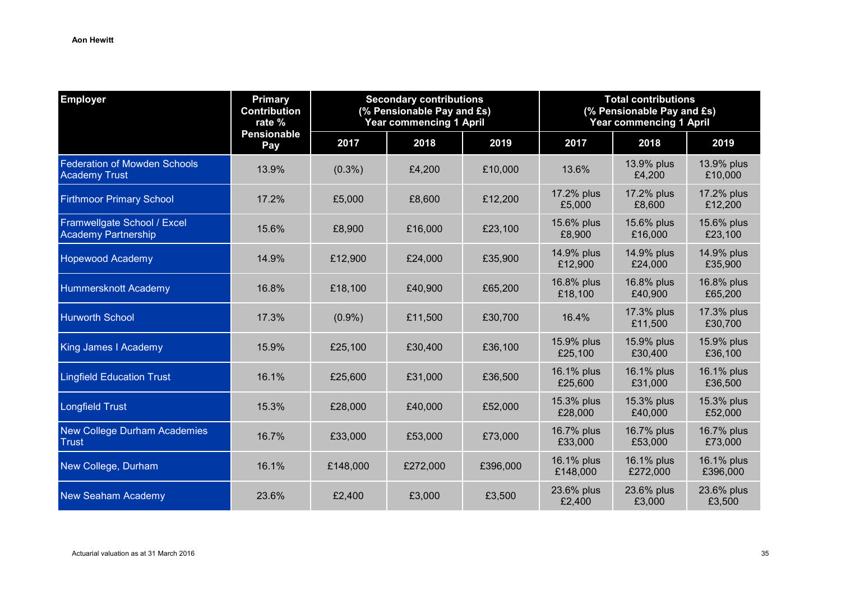| <b>Employer</b>                                             | <b>Primary</b><br><b>Contribution</b><br>rate % | <b>Secondary contributions</b><br>(% Pensionable Pay and £s)<br>Year commencing 1 April |          |          | <b>Total contributions</b><br>(% Pensionable Pay and £s)<br><b>Year commencing 1 April</b> |                        |                        |
|-------------------------------------------------------------|-------------------------------------------------|-----------------------------------------------------------------------------------------|----------|----------|--------------------------------------------------------------------------------------------|------------------------|------------------------|
|                                                             | <b>Pensionable</b><br>Pay                       | 2017                                                                                    | 2018     | 2019     | 2017                                                                                       | 2018                   | 2019                   |
| <b>Federation of Mowden Schools</b><br><b>Academy Trust</b> | 13.9%                                           | $(0.3\%)$                                                                               | £4,200   | £10,000  | 13.6%                                                                                      | 13.9% plus<br>£4,200   | 13.9% plus<br>£10,000  |
| <b>Firthmoor Primary School</b>                             | 17.2%                                           | £5,000                                                                                  | £8,600   | £12,200  | 17.2% plus<br>£5,000                                                                       | 17.2% plus<br>£8,600   | 17.2% plus<br>£12,200  |
| Framwellgate School / Excel<br><b>Academy Partnership</b>   | 15.6%                                           | £8,900                                                                                  | £16,000  | £23,100  | 15.6% plus<br>£8,900                                                                       | 15.6% plus<br>£16,000  | 15.6% plus<br>£23,100  |
| <b>Hopewood Academy</b>                                     | 14.9%                                           | £12,900                                                                                 | £24,000  | £35,900  | 14.9% plus<br>£12,900                                                                      | 14.9% plus<br>£24,000  | 14.9% plus<br>£35,900  |
| Hummersknott Academy                                        | 16.8%                                           | £18,100                                                                                 | £40,900  | £65,200  | 16.8% plus<br>£18,100                                                                      | 16.8% plus<br>£40,900  | 16.8% plus<br>£65,200  |
| <b>Hurworth School</b>                                      | 17.3%                                           | $(0.9\%)$                                                                               | £11,500  | £30,700  | 16.4%                                                                                      | 17.3% plus<br>£11,500  | 17.3% plus<br>£30,700  |
| King James I Academy                                        | 15.9%                                           | £25,100                                                                                 | £30,400  | £36,100  | 15.9% plus<br>£25,100                                                                      | 15.9% plus<br>£30,400  | 15.9% plus<br>£36,100  |
| <b>Lingfield Education Trust</b>                            | 16.1%                                           | £25,600                                                                                 | £31,000  | £36,500  | 16.1% plus<br>£25,600                                                                      | 16.1% plus<br>£31,000  | 16.1% plus<br>£36,500  |
| <b>Longfield Trust</b>                                      | 15.3%                                           | £28,000                                                                                 | £40,000  | £52,000  | 15.3% plus<br>£28,000                                                                      | 15.3% plus<br>£40,000  | 15.3% plus<br>£52,000  |
| <b>New College Durham Academies</b><br><b>Trust</b>         | 16.7%                                           | £33,000                                                                                 | £53,000  | £73,000  | 16.7% plus<br>£33,000                                                                      | 16.7% plus<br>£53,000  | 16.7% plus<br>£73,000  |
| New College, Durham                                         | 16.1%                                           | £148,000                                                                                | £272,000 | £396,000 | 16.1% plus<br>£148,000                                                                     | 16.1% plus<br>£272,000 | 16.1% plus<br>£396,000 |
| <b>New Seaham Academy</b>                                   | 23.6%                                           | £2,400                                                                                  | £3,000   | £3,500   | 23.6% plus<br>£2,400                                                                       | 23.6% plus<br>£3,000   | 23.6% plus<br>£3,500   |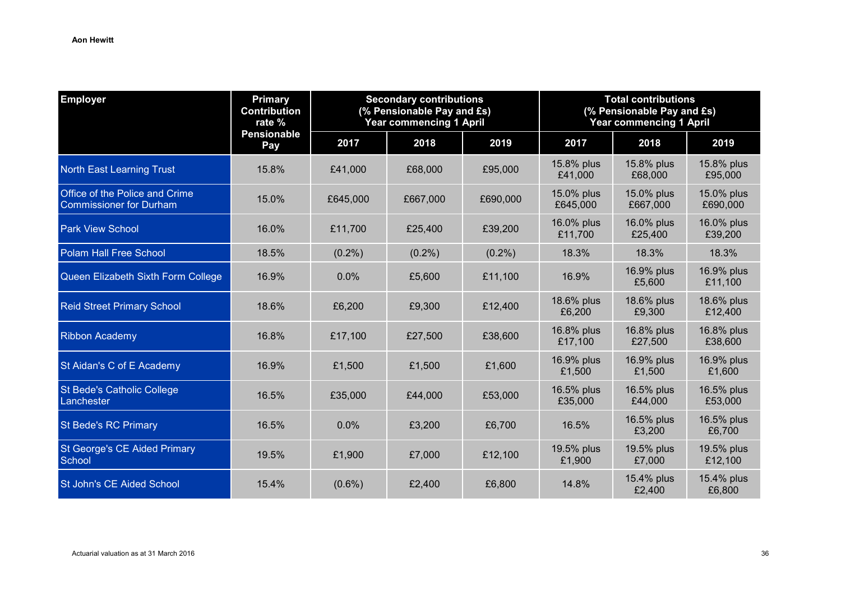| <b>Employer</b>                                                  | <b>Primary</b><br><b>Contribution</b><br>rate % | <b>Secondary contributions</b><br>(% Pensionable Pay and £s)<br><b>Year commencing 1 April</b> |           |           | <b>Total contributions</b><br>(% Pensionable Pay and £s)<br><b>Year commencing 1 April</b> |                        |                        |
|------------------------------------------------------------------|-------------------------------------------------|------------------------------------------------------------------------------------------------|-----------|-----------|--------------------------------------------------------------------------------------------|------------------------|------------------------|
|                                                                  | <b>Pensionable</b><br>Pay                       | 2017                                                                                           | 2018      | 2019      | 2017                                                                                       | 2018                   | 2019                   |
| <b>North East Learning Trust</b>                                 | 15.8%                                           | £41,000                                                                                        | £68,000   | £95,000   | 15.8% plus<br>£41,000                                                                      | 15.8% plus<br>£68,000  | 15.8% plus<br>£95,000  |
| Office of the Police and Crime<br><b>Commissioner for Durham</b> | 15.0%                                           | £645,000                                                                                       | £667,000  | £690,000  | 15.0% plus<br>£645,000                                                                     | 15.0% plus<br>£667,000 | 15.0% plus<br>£690,000 |
| <b>Park View School</b>                                          | 16.0%                                           | £11,700                                                                                        | £25,400   | £39,200   | 16.0% plus<br>£11,700                                                                      | 16.0% plus<br>£25,400  | 16.0% plus<br>£39,200  |
| <b>Polam Hall Free School</b>                                    | 18.5%                                           | $(0.2\%)$                                                                                      | $(0.2\%)$ | $(0.2\%)$ | 18.3%                                                                                      | 18.3%                  | 18.3%                  |
| Queen Elizabeth Sixth Form College                               | 16.9%                                           | 0.0%                                                                                           | £5,600    | £11,100   | 16.9%                                                                                      | 16.9% plus<br>£5,600   | 16.9% plus<br>£11,100  |
| <b>Reid Street Primary School</b>                                | 18.6%                                           | £6,200                                                                                         | £9,300    | £12,400   | 18.6% plus<br>£6,200                                                                       | 18.6% plus<br>£9,300   | 18.6% plus<br>£12,400  |
| <b>Ribbon Academy</b>                                            | 16.8%                                           | £17,100                                                                                        | £27,500   | £38,600   | 16.8% plus<br>£17,100                                                                      | 16.8% plus<br>£27,500  | 16.8% plus<br>£38,600  |
| St Aidan's C of E Academy                                        | 16.9%                                           | £1,500                                                                                         | £1,500    | £1,600    | 16.9% plus<br>£1,500                                                                       | 16.9% plus<br>£1,500   | 16.9% plus<br>£1,600   |
| <b>St Bede's Catholic College</b><br>Lanchester                  | 16.5%                                           | £35,000                                                                                        | £44,000   | £53,000   | 16.5% plus<br>£35,000                                                                      | 16.5% plus<br>£44,000  | 16.5% plus<br>£53,000  |
| <b>St Bede's RC Primary</b>                                      | 16.5%                                           | 0.0%                                                                                           | £3,200    | £6,700    | 16.5%                                                                                      | 16.5% plus<br>£3,200   | 16.5% plus<br>£6,700   |
| <b>St George's CE Aided Primary</b><br>School                    | 19.5%                                           | £1,900                                                                                         | £7,000    | £12,100   | 19.5% plus<br>£1,900                                                                       | 19.5% plus<br>£7,000   | 19.5% plus<br>£12,100  |
| St John's CE Aided School                                        | 15.4%                                           | $(0.6\%)$                                                                                      | £2,400    | £6,800    | 14.8%                                                                                      | 15.4% plus<br>£2,400   | 15.4% plus<br>£6,800   |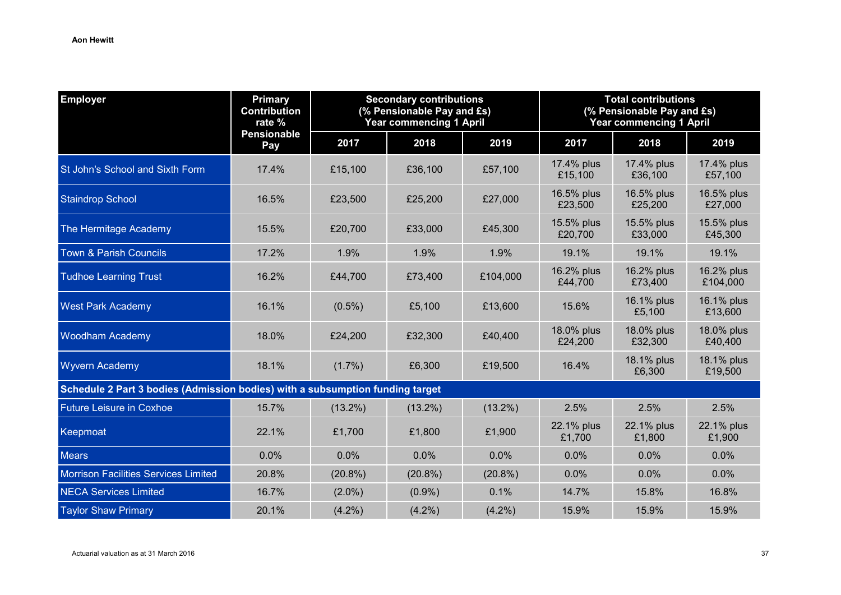| <b>Employer</b>                                                               | <b>Primary</b><br><b>Contribution</b><br>rate % | <b>Secondary contributions</b><br>(% Pensionable Pay and £s)<br><b>Year commencing 1 April</b> |            |            | <b>Total contributions</b><br>(% Pensionable Pay and £s)<br><b>Year commencing 1 April</b> |                       |                        |
|-------------------------------------------------------------------------------|-------------------------------------------------|------------------------------------------------------------------------------------------------|------------|------------|--------------------------------------------------------------------------------------------|-----------------------|------------------------|
|                                                                               | <b>Pensionable</b><br>Pay                       | 2017                                                                                           | 2018       | 2019       | 2017                                                                                       | 2018                  | 2019                   |
| St John's School and Sixth Form                                               | 17.4%                                           | £15,100                                                                                        | £36,100    | £57,100    | 17.4% plus<br>£15,100                                                                      | 17.4% plus<br>£36,100 | 17.4% plus<br>£57,100  |
| <b>Staindrop School</b>                                                       | 16.5%                                           | £23,500                                                                                        | £25,200    | £27,000    | 16.5% plus<br>£23,500                                                                      | 16.5% plus<br>£25,200 | 16.5% plus<br>£27,000  |
| The Hermitage Academy                                                         | 15.5%                                           | £20,700                                                                                        | £33,000    | £45,300    | 15.5% plus<br>£20,700                                                                      | 15.5% plus<br>£33,000 | 15.5% plus<br>£45,300  |
| <b>Town &amp; Parish Councils</b>                                             | 17.2%                                           | 1.9%                                                                                           | 1.9%       | 1.9%       | 19.1%                                                                                      | 19.1%                 | 19.1%                  |
| <b>Tudhoe Learning Trust</b>                                                  | 16.2%                                           | £44,700                                                                                        | £73,400    | £104,000   | 16.2% plus<br>£44,700                                                                      | 16.2% plus<br>£73,400 | 16.2% plus<br>£104,000 |
| <b>West Park Academy</b>                                                      | 16.1%                                           | $(0.5\%)$                                                                                      | £5,100     | £13,600    | 15.6%                                                                                      | 16.1% plus<br>£5,100  | 16.1% plus<br>£13,600  |
| <b>Woodham Academy</b>                                                        | 18.0%                                           | £24,200                                                                                        | £32,300    | £40,400    | 18.0% plus<br>£24,200                                                                      | 18.0% plus<br>£32,300 | 18.0% plus<br>£40,400  |
| <b>Wyvern Academy</b>                                                         | 18.1%                                           | $(1.7\%)$                                                                                      | £6,300     | £19,500    | 16.4%                                                                                      | 18.1% plus<br>£6,300  | 18.1% plus<br>£19,500  |
| Schedule 2 Part 3 bodies (Admission bodies) with a subsumption funding target |                                                 |                                                                                                |            |            |                                                                                            |                       |                        |
| <b>Future Leisure in Coxhoe</b>                                               | 15.7%                                           | $(13.2\%)$                                                                                     | $(13.2\%)$ | $(13.2\%)$ | 2.5%                                                                                       | 2.5%                  | 2.5%                   |
| Keepmoat                                                                      | 22.1%                                           | £1,700                                                                                         | £1,800     | £1,900     | 22.1% plus<br>£1,700                                                                       | 22.1% plus<br>£1,800  | 22.1% plus<br>£1,900   |
| <b>Mears</b>                                                                  | 0.0%                                            | 0.0%                                                                                           | 0.0%       | 0.0%       | 0.0%                                                                                       | 0.0%                  | 0.0%                   |
| <b>Morrison Facilities Services Limited</b>                                   | 20.8%                                           | $(20.8\%)$                                                                                     | $(20.8\%)$ | $(20.8\%)$ | 0.0%                                                                                       | 0.0%                  | 0.0%                   |
| <b>NECA Services Limited</b>                                                  | 16.7%                                           | $(2.0\%)$                                                                                      | $(0.9\%)$  | 0.1%       | 14.7%                                                                                      | 15.8%                 | 16.8%                  |
| <b>Taylor Shaw Primary</b>                                                    | 20.1%                                           | $(4.2\%)$                                                                                      | $(4.2\%)$  | $(4.2\%)$  | 15.9%                                                                                      | 15.9%                 | 15.9%                  |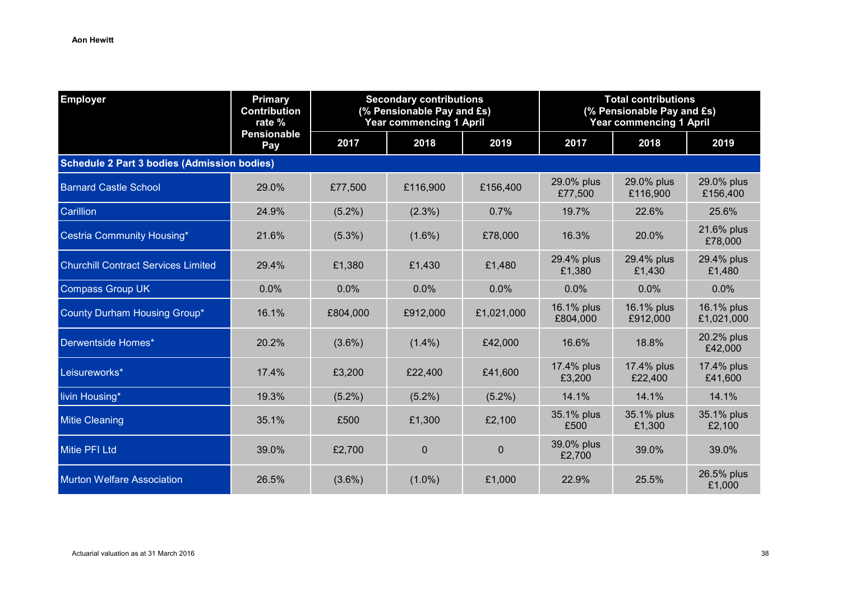| <b>Employer</b>                                    | <b>Primary</b><br><b>Contribution</b><br>rate % | <b>Secondary contributions</b><br>(% Pensionable Pay and £s)<br><b>Year commencing 1 April</b> |           |            | <b>Total contributions</b><br>(% Pensionable Pay and £s)<br><b>Year commencing 1 April</b> |                        |                          |  |  |
|----------------------------------------------------|-------------------------------------------------|------------------------------------------------------------------------------------------------|-----------|------------|--------------------------------------------------------------------------------------------|------------------------|--------------------------|--|--|
|                                                    | <b>Pensionable</b><br>Pay                       | 2017                                                                                           | 2018      | 2019       | 2017                                                                                       | 2018                   | 2019                     |  |  |
| <b>Schedule 2 Part 3 bodies (Admission bodies)</b> |                                                 |                                                                                                |           |            |                                                                                            |                        |                          |  |  |
| <b>Barnard Castle School</b>                       | 29.0%                                           | £77,500                                                                                        | £116,900  | £156,400   | 29.0% plus<br>£77,500                                                                      | 29.0% plus<br>£116,900 | 29.0% plus<br>£156,400   |  |  |
| Carillion                                          | 24.9%                                           | $(5.2\%)$                                                                                      | $(2.3\%)$ | 0.7%       | 19.7%                                                                                      | 22.6%                  | 25.6%                    |  |  |
| Cestria Community Housing*                         | 21.6%                                           | $(5.3\%)$                                                                                      | $(1.6\%)$ | £78,000    | 16.3%                                                                                      | 20.0%                  | 21.6% plus<br>£78,000    |  |  |
| <b>Churchill Contract Services Limited</b>         | 29.4%                                           | £1,380                                                                                         | £1,430    | £1,480     | 29.4% plus<br>£1,380                                                                       | 29.4% plus<br>£1,430   | 29.4% plus<br>£1,480     |  |  |
| <b>Compass Group UK</b>                            | 0.0%                                            | 0.0%                                                                                           | 0.0%      | 0.0%       | 0.0%                                                                                       | 0.0%                   | 0.0%                     |  |  |
| County Durham Housing Group*                       | 16.1%                                           | £804,000                                                                                       | £912,000  | £1,021,000 | 16.1% plus<br>£804,000                                                                     | 16.1% plus<br>£912,000 | 16.1% plus<br>£1,021,000 |  |  |
| Derwentside Homes*                                 | 20.2%                                           | $(3.6\%)$                                                                                      | $(1.4\%)$ | £42,000    | 16.6%                                                                                      | 18.8%                  | 20.2% plus<br>£42,000    |  |  |
| Leisureworks*                                      | 17.4%                                           | £3,200                                                                                         | £22,400   | £41,600    | 17.4% plus<br>£3,200                                                                       | 17.4% plus<br>£22,400  | 17.4% plus<br>£41,600    |  |  |
| livin Housing*                                     | 19.3%                                           | $(5.2\%)$                                                                                      | $(5.2\%)$ | $(5.2\%)$  | 14.1%                                                                                      | 14.1%                  | 14.1%                    |  |  |
| <b>Mitie Cleaning</b>                              | 35.1%                                           | £500                                                                                           | £1,300    | £2,100     | 35.1% plus<br>£500                                                                         | 35.1% plus<br>£1,300   | 35.1% plus<br>£2,100     |  |  |
| <b>Mitie PFI Ltd</b>                               | 39.0%                                           | £2,700                                                                                         | $\Omega$  | $\Omega$   | 39.0% plus<br>£2,700                                                                       | 39.0%                  | 39.0%                    |  |  |
| <b>Murton Welfare Association</b>                  | 26.5%                                           | $(3.6\%)$                                                                                      | $(1.0\%)$ | £1,000     | 22.9%                                                                                      | 25.5%                  | 26.5% plus<br>£1,000     |  |  |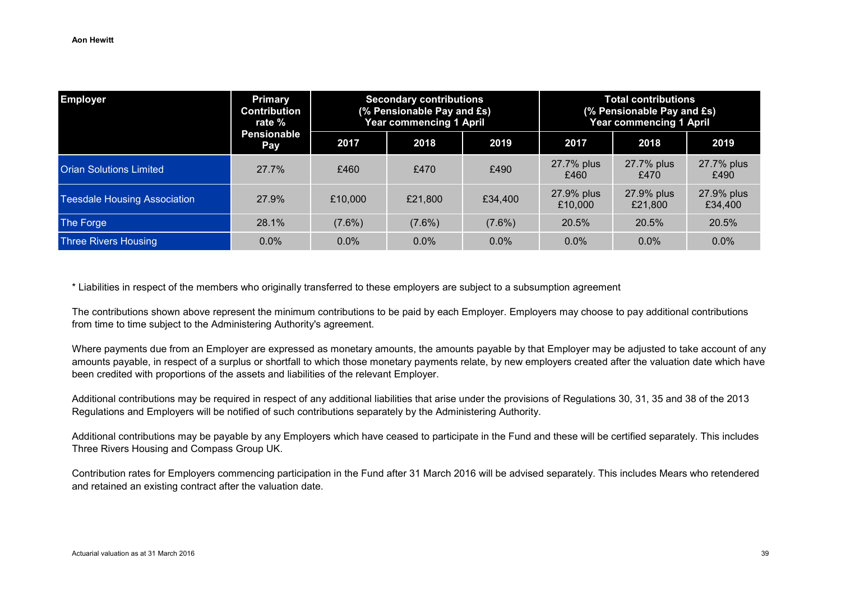| <b>Employer</b>                     | Primary<br><b>Contribution</b><br>rate % | <b>Secondary contributions</b><br>(% Pensionable Pay and £s)<br><b>Year commencing 1 April</b> |           |           | <b>Total contributions</b><br>(% Pensionable Pay and £s)<br><b>Year commencing 1 April</b> |                       |                       |
|-------------------------------------|------------------------------------------|------------------------------------------------------------------------------------------------|-----------|-----------|--------------------------------------------------------------------------------------------|-----------------------|-----------------------|
|                                     | <b>Pensionable</b><br><b>Pay</b>         | 2017                                                                                           | 2018      | 2019      | 2017                                                                                       | 2018                  | 2019                  |
| <b>Orian Solutions Limited</b>      | 27.7%                                    | £460                                                                                           | £470      | £490      | 27.7% plus<br>£460                                                                         | 27.7% plus<br>£470    | 27.7% plus<br>£490    |
| <b>Teesdale Housing Association</b> | 27.9%                                    | £10,000                                                                                        | £21,800   | £34,400   | 27.9% plus<br>£10,000                                                                      | 27.9% plus<br>£21,800 | 27.9% plus<br>£34,400 |
| The Forge                           | 28.1%                                    | $(7.6\%)$                                                                                      | $(7.6\%)$ | $(7.6\%)$ | 20.5%                                                                                      | 20.5%                 | 20.5%                 |
| <b>Three Rivers Housing</b>         | $0.0\%$                                  | $0.0\%$                                                                                        | $0.0\%$   | $0.0\%$   | $0.0\%$                                                                                    | $0.0\%$               | $0.0\%$               |

\* Liabilities in respect of the members who originally transferred to these employers are subject to a subsumption agreement

The contributions shown above represent the minimum contributions to be paid by each Employer. Employers may choose to pay additional contributions from time to time subject to the Administering Authority's agreement.

Where payments due from an Employer are expressed as monetary amounts, the amounts payable by that Employer may be adjusted to take account of any amounts payable, in respect of a surplus or shortfall to which those monetary payments relate, by new employers created after the valuation date which have been credited with proportions of the assets and liabilities of the relevant Employer.

Additional contributions may be required in respect of any additional liabilities that arise under the provisions of Regulations 30, 31, 35 and 38 of the 2013 Regulations and Employers will be notified of such contributions separately by the Administering Authority.

Additional contributions may be payable by any Employers which have ceased to participate in the Fund and these will be certified separately. This includes Three Rivers Housing and Compass Group UK.

Contribution rates for Employers commencing participation in the Fund after 31 March 2016 will be advised separately. This includes Mears who retendered and retained an existing contract after the valuation date.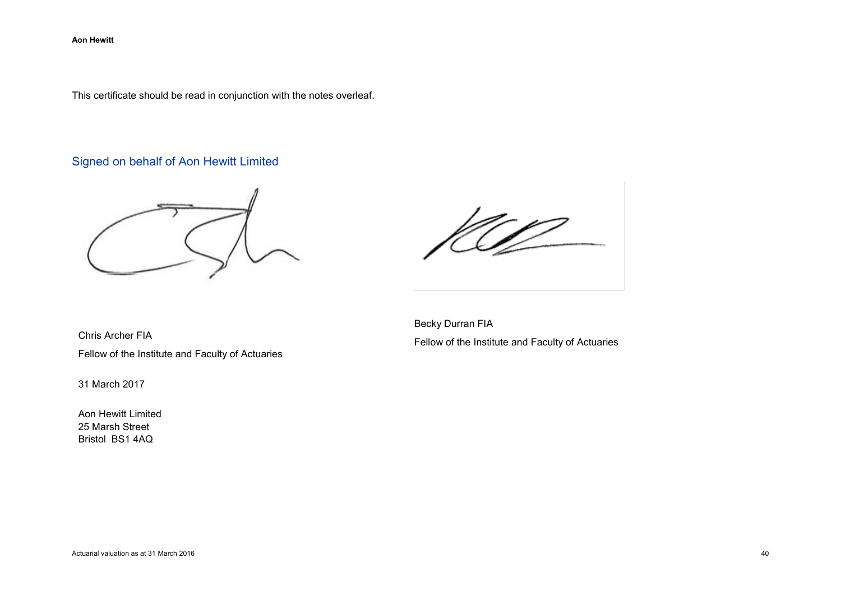This certificate should be read in conjunction with the notes overleaf.

# Signed on behalf of Aon Hewitt Limited

Chris Archer FIA Fellow of the Institute and Faculty of Actuaries

31 March 2017

Aon Hewitt Limited 25 Marsh Street Bristol BS1 4AQ

Becky Durran FIA Fellow of the Institute and Faculty of Actuaries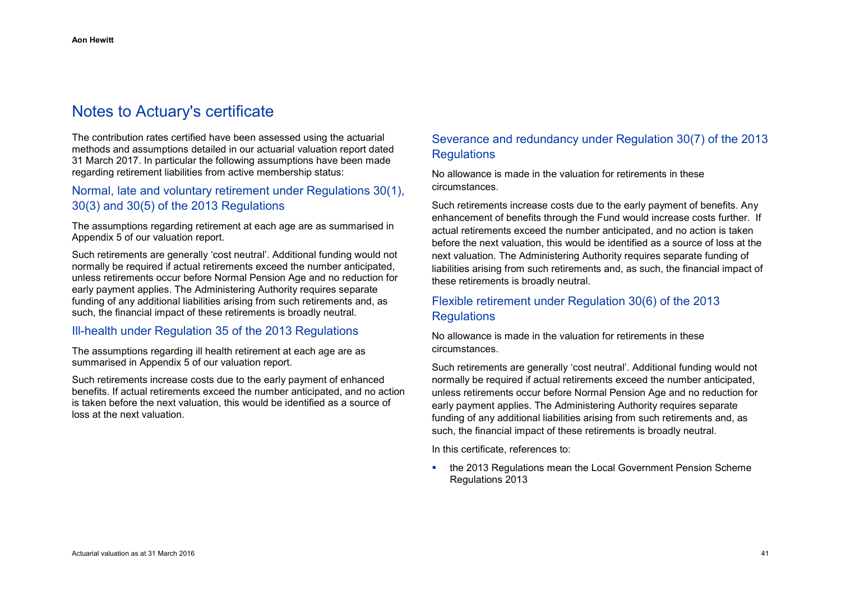# Notes to Actuary's certificate

The contribution rates certified have been assessed using the actuarial methods and assumptions detailed in our actuarial valuation report dated 31 March 2017. In particular the following assumptions have been made regarding retirement liabilities from active membership status:

# Normal, late and voluntary retirement under Regulations 30(1), 30(3) and 30(5) of the 2013 Regulations

The assumptions regarding retirement at each age are as summarised in Appendix 5 of our valuation report.

Such retirements are generally 'cost neutral'. Additional funding would not normally be required if actual retirements exceed the number anticipated, unless retirements occur before Normal Pension Age and no reduction for early payment applies. The Administering Authority requires separate funding of any additional liabilities arising from such retirements and, as such, the financial impact of these retirements is broadly neutral.

### Ill-health under Regulation 35 of the 2013 Regulations

The assumptions regarding ill health retirement at each age are as summarised in Appendix 5 of our valuation report.

Such retirements increase costs due to the early payment of enhanced benefits. If actual retirements exceed the number anticipated, and no action is taken before the next valuation, this would be identified as a source of loss at the next valuation.

# Severance and redundancy under Regulation 30(7) of the 2013 **Requlations**

No allowance is made in the valuation for retirements in these circumstances.

Such retirements increase costs due to the early payment of benefits. Any enhancement of benefits through the Fund would increase costs further. If actual retirements exceed the number anticipated, and no action is taken before the next valuation, this would be identified as a source of loss at the next valuation. The Administering Authority requires separate funding of liabilities arising from such retirements and, as such, the financial impact of these retirements is broadly neutral.

# Flexible retirement under Regulation 30(6) of the 2013 **Regulations**

No allowance is made in the valuation for retirements in these circumstances.

Such retirements are generally 'cost neutral'. Additional funding would not normally be required if actual retirements exceed the number anticipated, unless retirements occur before Normal Pension Age and no reduction for early payment applies. The Administering Authority requires separate funding of any additional liabilities arising from such retirements and, as such, the financial impact of these retirements is broadly neutral.

In this certificate, references to:

**the 2013 Regulations mean the Local Government Pension Scheme** Regulations 2013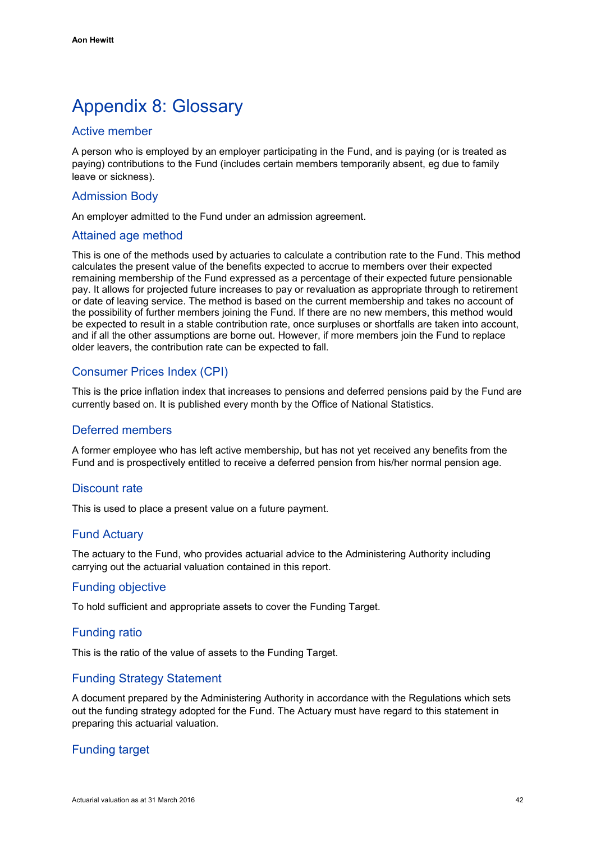# <span id="page-45-0"></span>Appendix 8: Glossary

# Active member

A person who is employed by an employer participating in the Fund, and is paying (or is treated as paying) contributions to the Fund (includes certain members temporarily absent, eg due to family leave or sickness).

### Admission Body

An employer admitted to the Fund under an admission agreement.

### Attained age method

This is one of the methods used by actuaries to calculate a contribution rate to the Fund. This method calculates the present value of the benefits expected to accrue to members over their expected remaining membership of the Fund expressed as a percentage of their expected future pensionable pay. It allows for projected future increases to pay or revaluation as appropriate through to retirement or date of leaving service. The method is based on the current membership and takes no account of the possibility of further members joining the Fund. If there are no new members, this method would be expected to result in a stable contribution rate, once surpluses or shortfalls are taken into account, and if all the other assumptions are borne out. However, if more members join the Fund to replace older leavers, the contribution rate can be expected to fall.

# Consumer Prices Index (CPI)

This is the price inflation index that increases to pensions and deferred pensions paid by the Fund are currently based on. It is published every month by the Office of National Statistics.

### Deferred members

A former employee who has left active membership, but has not yet received any benefits from the Fund and is prospectively entitled to receive a deferred pension from his/her normal pension age.

### Discount rate

This is used to place a present value on a future payment.

# Fund Actuary

The actuary to the Fund, who provides actuarial advice to the Administering Authority including carrying out the actuarial valuation contained in this report.

### Funding objective

To hold sufficient and appropriate assets to cover the Funding Target.

### Funding ratio

This is the ratio of the value of assets to the Funding Target.

# Funding Strategy Statement

A document prepared by the Administering Authority in accordance with the Regulations which sets out the funding strategy adopted for the Fund. The Actuary must have regard to this statement in preparing this actuarial valuation.

# Funding target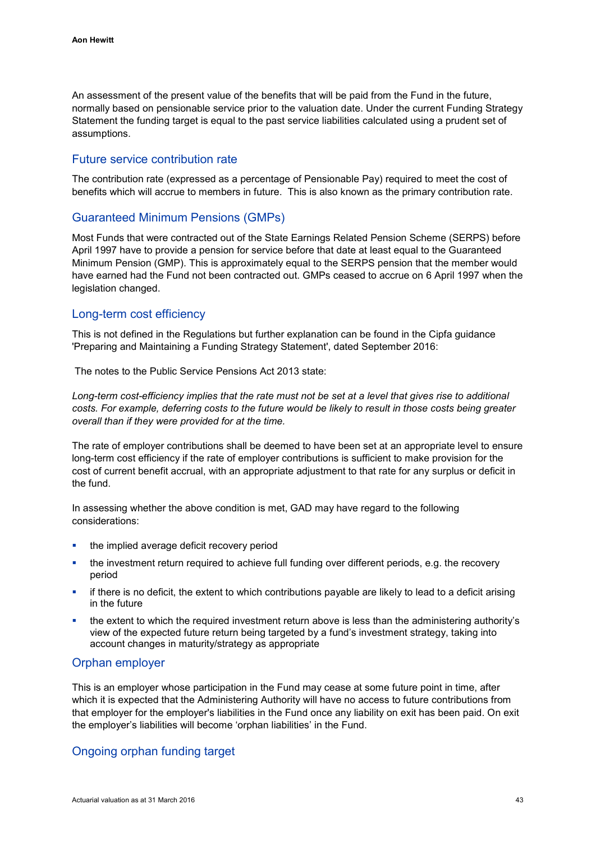An assessment of the present value of the benefits that will be paid from the Fund in the future, normally based on pensionable service prior to the valuation date. Under the current Funding Strategy Statement the funding target is equal to the past service liabilities calculated using a prudent set of assumptions.

### Future service contribution rate

The contribution rate (expressed as a percentage of Pensionable Pay) required to meet the cost of benefits which will accrue to members in future. This is also known as the primary contribution rate.

### Guaranteed Minimum Pensions (GMPs)

Most Funds that were contracted out of the State Earnings Related Pension Scheme (SERPS) before April 1997 have to provide a pension for service before that date at least equal to the Guaranteed Minimum Pension (GMP). This is approximately equal to the SERPS pension that the member would have earned had the Fund not been contracted out. GMPs ceased to accrue on 6 April 1997 when the legislation changed.

### Long-term cost efficiency

This is not defined in the Regulations but further explanation can be found in the Cipfa guidance 'Preparing and Maintaining a Funding Strategy Statement', dated September 2016:

The notes to the Public Service Pensions Act 2013 state:

*Long-term cost-efficiency implies that the rate must not be set at a level that gives rise to additional costs. For example, deferring costs to the future would be likely to result in those costs being greater overall than if they were provided for at the time.*

The rate of employer contributions shall be deemed to have been set at an appropriate level to ensure long-term cost efficiency if the rate of employer contributions is sufficient to make provision for the cost of current benefit accrual, with an appropriate adjustment to that rate for any surplus or deficit in the fund.

In assessing whether the above condition is met, GAD may have regard to the following considerations:

- **the implied average deficit recovery period**
- the investment return required to achieve full funding over different periods, e.g. the recovery period
- if there is no deficit, the extent to which contributions payable are likely to lead to a deficit arising in the future
- the extent to which the required investment return above is less than the administering authority's view of the expected future return being targeted by a fund's investment strategy, taking into account changes in maturity/strategy as appropriate

### Orphan employer

This is an employer whose participation in the Fund may cease at some future point in time, after which it is expected that the Administering Authority will have no access to future contributions from that employer for the employer's liabilities in the Fund once any liability on exit has been paid. On exit the employer's liabilities will become 'orphan liabilities' in the Fund.

# Ongoing orphan funding target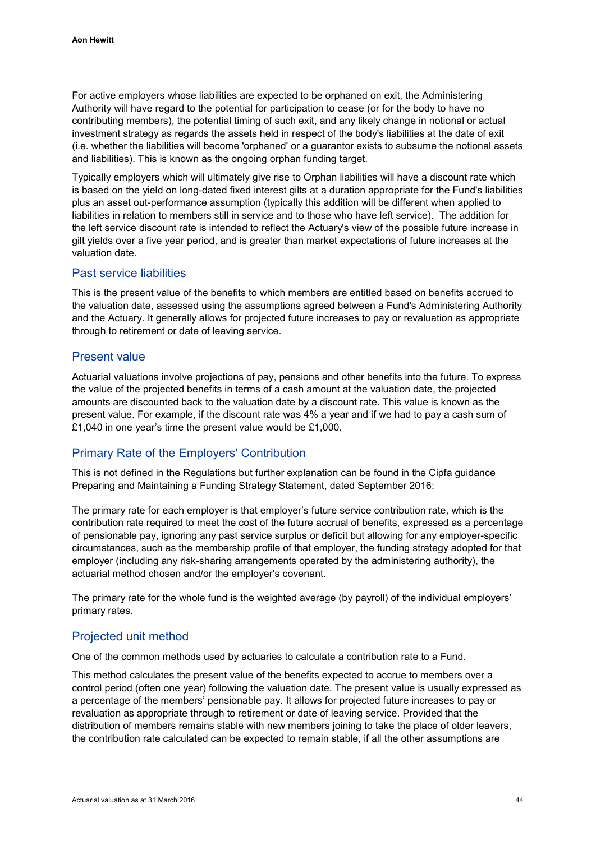For active employers whose liabilities are expected to be orphaned on exit, the Administering Authority will have regard to the potential for participation to cease (or for the body to have no contributing members), the potential timing of such exit, and any likely change in notional or actual investment strategy as regards the assets held in respect of the body's liabilities at the date of exit (i.e. whether the liabilities will become 'orphaned' or a guarantor exists to subsume the notional assets and liabilities). This is known as the ongoing orphan funding target.

Typically employers which will ultimately give rise to Orphan liabilities will have a discount rate which is based on the yield on long-dated fixed interest gilts at a duration appropriate for the Fund's liabilities plus an asset out-performance assumption (typically this addition will be different when applied to liabilities in relation to members still in service and to those who have left service). The addition for the left service discount rate is intended to reflect the Actuary's view of the possible future increase in gilt yields over a five year period, and is greater than market expectations of future increases at the valuation date.

### Past service liabilities

This is the present value of the benefits to which members are entitled based on benefits accrued to the valuation date, assessed using the assumptions agreed between a Fund's Administering Authority and the Actuary. It generally allows for projected future increases to pay or revaluation as appropriate through to retirement or date of leaving service.

### Present value

Actuarial valuations involve projections of pay, pensions and other benefits into the future. To express the value of the projected benefits in terms of a cash amount at the valuation date, the projected amounts are discounted back to the valuation date by a discount rate. This value is known as the present value. For example, if the discount rate was 4% a year and if we had to pay a cash sum of £1,040 in one year's time the present value would be £1,000.

### Primary Rate of the Employers' Contribution

This is not defined in the Regulations but further explanation can be found in the Cipfa guidance Preparing and Maintaining a Funding Strategy Statement, dated September 2016:

The primary rate for each employer is that employer's future service contribution rate, which is the contribution rate required to meet the cost of the future accrual of benefits, expressed as a percentage of pensionable pay, ignoring any past service surplus or deficit but allowing for any employer-specific circumstances, such as the membership profile of that employer, the funding strategy adopted for that employer (including any risk-sharing arrangements operated by the administering authority), the actuarial method chosen and/or the employer's covenant.

The primary rate for the whole fund is the weighted average (by payroll) of the individual employers' primary rates.

### Projected unit method

One of the common methods used by actuaries to calculate a contribution rate to a Fund.

This method calculates the present value of the benefits expected to accrue to members over a control period (often one year) following the valuation date. The present value is usually expressed as a percentage of the members' pensionable pay. It allows for projected future increases to pay or revaluation as appropriate through to retirement or date of leaving service. Provided that the distribution of members remains stable with new members joining to take the place of older leavers, the contribution rate calculated can be expected to remain stable, if all the other assumptions are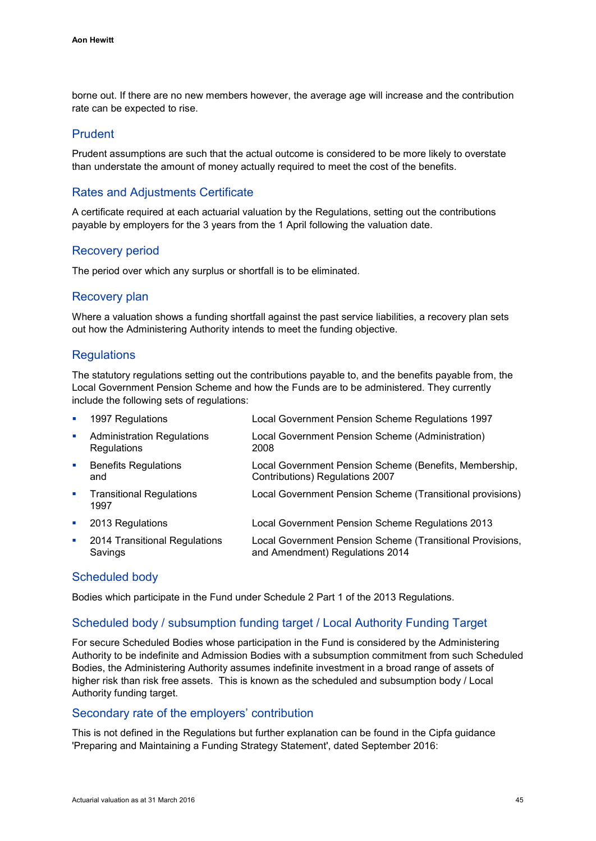borne out. If there are no new members however, the average age will increase and the contribution rate can be expected to rise.

### Prudent

Prudent assumptions are such that the actual outcome is considered to be more likely to overstate than understate the amount of money actually required to meet the cost of the benefits.

# Rates and Adjustments Certificate

A certificate required at each actuarial valuation by the Regulations, setting out the contributions payable by employers for the 3 years from the 1 April following the valuation date.

### Recovery period

The period over which any surplus or shortfall is to be eliminated.

### Recovery plan

Where a valuation shows a funding shortfall against the past service liabilities, a recovery plan sets out how the Administering Authority intends to meet the funding objective.

### **Regulations**

The statutory regulations setting out the contributions payable to, and the benefits payable from, the Local Government Pension Scheme and how the Funds are to be administered. They currently include the following sets of regulations:

| ×              | 1997 Regulations                                        | Local Government Pension Scheme Regulations 1997                                             |
|----------------|---------------------------------------------------------|----------------------------------------------------------------------------------------------|
| u,             | <b>Administration Regulations</b><br><b>Regulations</b> | Local Government Pension Scheme (Administration)<br>2008                                     |
| <b>D</b>       | <b>Benefits Regulations</b><br>and                      | Local Government Pension Scheme (Benefits, Membership,<br>Contributions) Regulations 2007    |
| $\blacksquare$ | <b>Transitional Regulations</b><br>1997                 | Local Government Pension Scheme (Transitional provisions)                                    |
| u,             | 2013 Regulations                                        | Local Government Pension Scheme Regulations 2013                                             |
| u,             | 2014 Transitional Regulations<br>Savings                | Local Government Pension Scheme (Transitional Provisions,<br>and Amendment) Regulations 2014 |

### Scheduled body

Bodies which participate in the Fund under Schedule 2 Part 1 of the 2013 Regulations.

### Scheduled body / subsumption funding target / Local Authority Funding Target

For secure Scheduled Bodies whose participation in the Fund is considered by the Administering Authority to be indefinite and Admission Bodies with a subsumption commitment from such Scheduled Bodies, the Administering Authority assumes indefinite investment in a broad range of assets of higher risk than risk free assets. This is known as the scheduled and subsumption body / Local Authority funding target.

#### Secondary rate of the employers' contribution

This is not defined in the Regulations but further explanation can be found in the Cipfa guidance 'Preparing and Maintaining a Funding Strategy Statement', dated September 2016: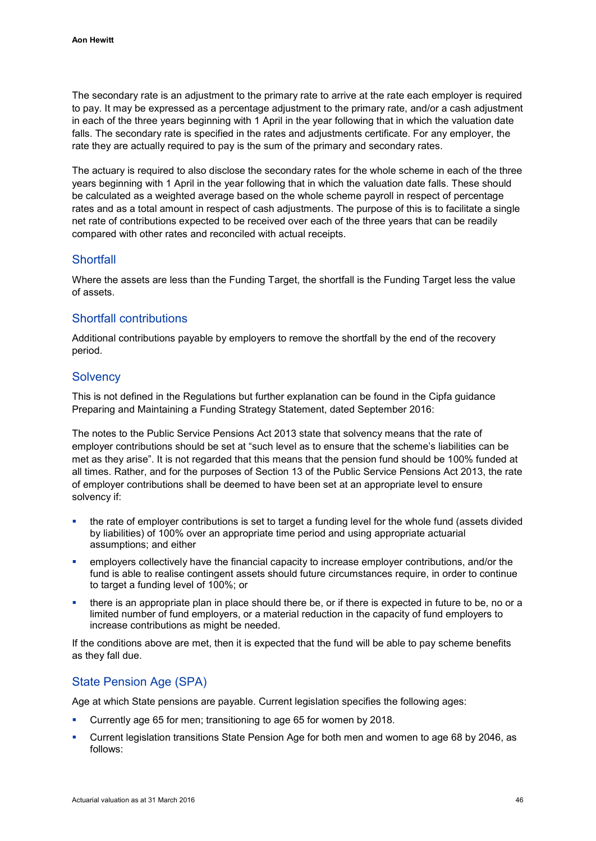The secondary rate is an adjustment to the primary rate to arrive at the rate each employer is required to pay. It may be expressed as a percentage adjustment to the primary rate, and/or a cash adjustment in each of the three years beginning with 1 April in the year following that in which the valuation date falls. The secondary rate is specified in the rates and adjustments certificate. For any employer, the rate they are actually required to pay is the sum of the primary and secondary rates.

The actuary is required to also disclose the secondary rates for the whole scheme in each of the three years beginning with 1 April in the year following that in which the valuation date falls. These should be calculated as a weighted average based on the whole scheme payroll in respect of percentage rates and as a total amount in respect of cash adjustments. The purpose of this is to facilitate a single net rate of contributions expected to be received over each of the three years that can be readily compared with other rates and reconciled with actual receipts.

### **Shortfall**

Where the assets are less than the Funding Target, the shortfall is the Funding Target less the value of assets.

# Shortfall contributions

Additional contributions payable by employers to remove the shortfall by the end of the recovery period.

### **Solvency**

This is not defined in the Regulations but further explanation can be found in the Cipfa guidance Preparing and Maintaining a Funding Strategy Statement, dated September 2016:

The notes to the Public Service Pensions Act 2013 state that solvency means that the rate of employer contributions should be set at "such level as to ensure that the scheme's liabilities can be met as they arise". It is not regarded that this means that the pension fund should be 100% funded at all times. Rather, and for the purposes of Section 13 of the Public Service Pensions Act 2013, the rate of employer contributions shall be deemed to have been set at an appropriate level to ensure solvency if:

- the rate of employer contributions is set to target a funding level for the whole fund (assets divided by liabilities) of 100% over an appropriate time period and using appropriate actuarial assumptions; and either
- employers collectively have the financial capacity to increase employer contributions, and/or the fund is able to realise contingent assets should future circumstances require, in order to continue to target a funding level of 100%; or
- there is an appropriate plan in place should there be, or if there is expected in future to be, no or a limited number of fund employers, or a material reduction in the capacity of fund employers to increase contributions as might be needed.

If the conditions above are met, then it is expected that the fund will be able to pay scheme benefits as they fall due.

# State Pension Age (SPA)

Age at which State pensions are payable. Current legislation specifies the following ages:

- Currently age 65 for men; transitioning to age 65 for women by 2018.
- Current legislation transitions State Pension Age for both men and women to age 68 by 2046, as follows: